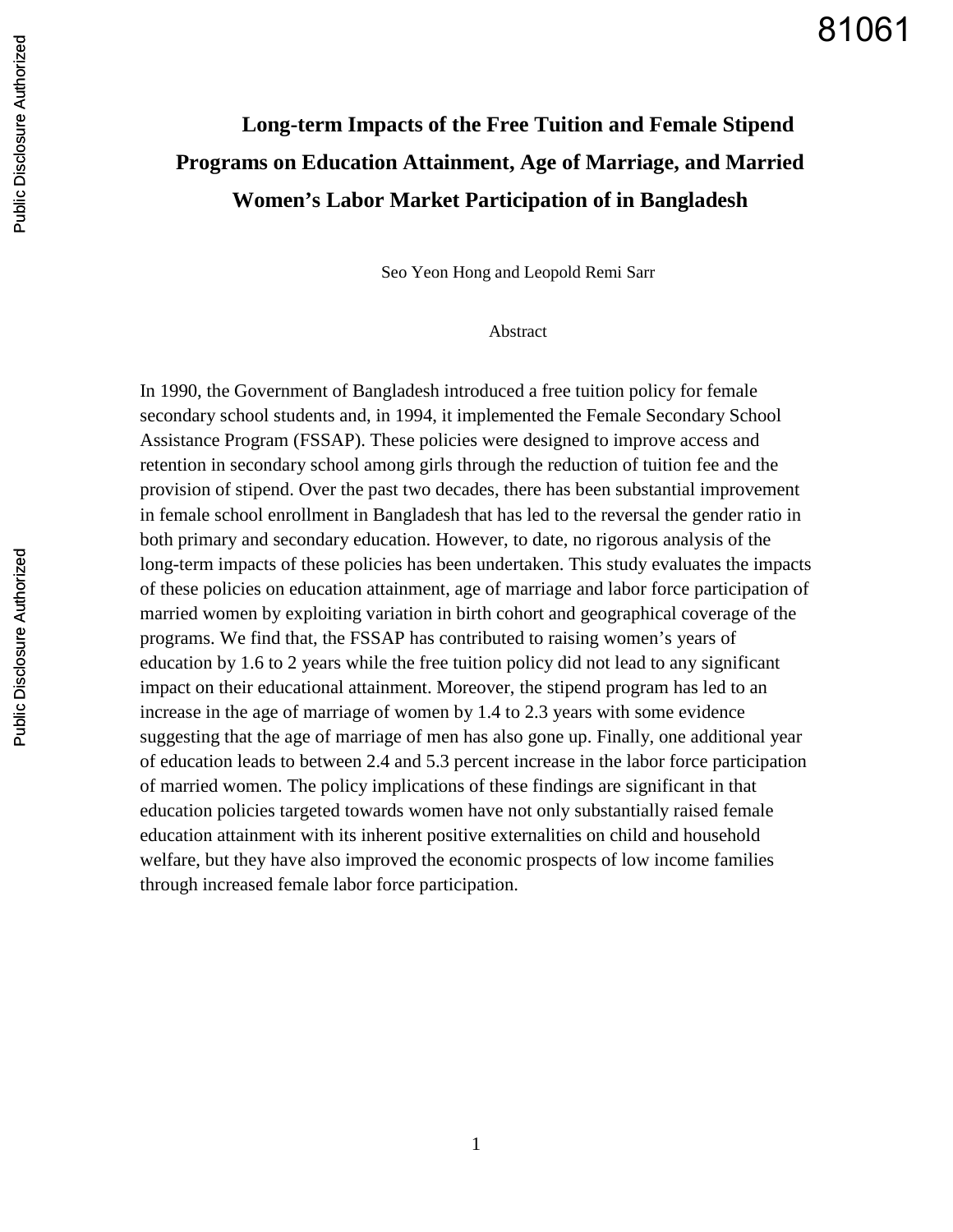# **Long-term Impacts of the Free Tuition and Female Stipend Programs on Education Attainment, Age of Marriage, and Married Women's Labor Market Participation of in Bangladesh**

Seo Yeon Hong and Leopold Remi Sarr

Abstract

In 1990, the Government of Bangladesh introduced a free tuition policy for female secondary school students and, in 1994, it implemented the Female Secondary School Assistance Program (FSSAP). These policies were designed to improve access and retention in secondary school among girls through the reduction of tuition fee and the provision of stipend. Over the past two decades, there has been substantial improvement in female school enrollment in Bangladesh that has led to the reversal the gender ratio in both primary and secondary education. However, to date, no rigorous analysis of the long-term impacts of these policies has been undertaken. This study evaluates the impacts of these policies on education attainment, age of marriage and labor force participation of married women by exploiting variation in birth cohort and geographical coverage of the programs. We find that, the FSSAP has contributed to raising women's years of education by 1.6 to 2 years while the free tuition policy did not lead to any significant impact on their educational attainment. Moreover, the stipend program has led to an increase in the age of marriage of women by 1.4 to 2.3 years with some evidence suggesting that the age of marriage of men has also gone up. Finally, one additional year of education leads to between 2.4 and 5.3 percent increase in the labor force participation of married women. The policy implications of these findings are significant in that education policies targeted towards women have not only substantially raised female education attainment with its inherent positive externalities on child and household welfare, but they have also improved the economic prospects of low income families through increased female labor force participation.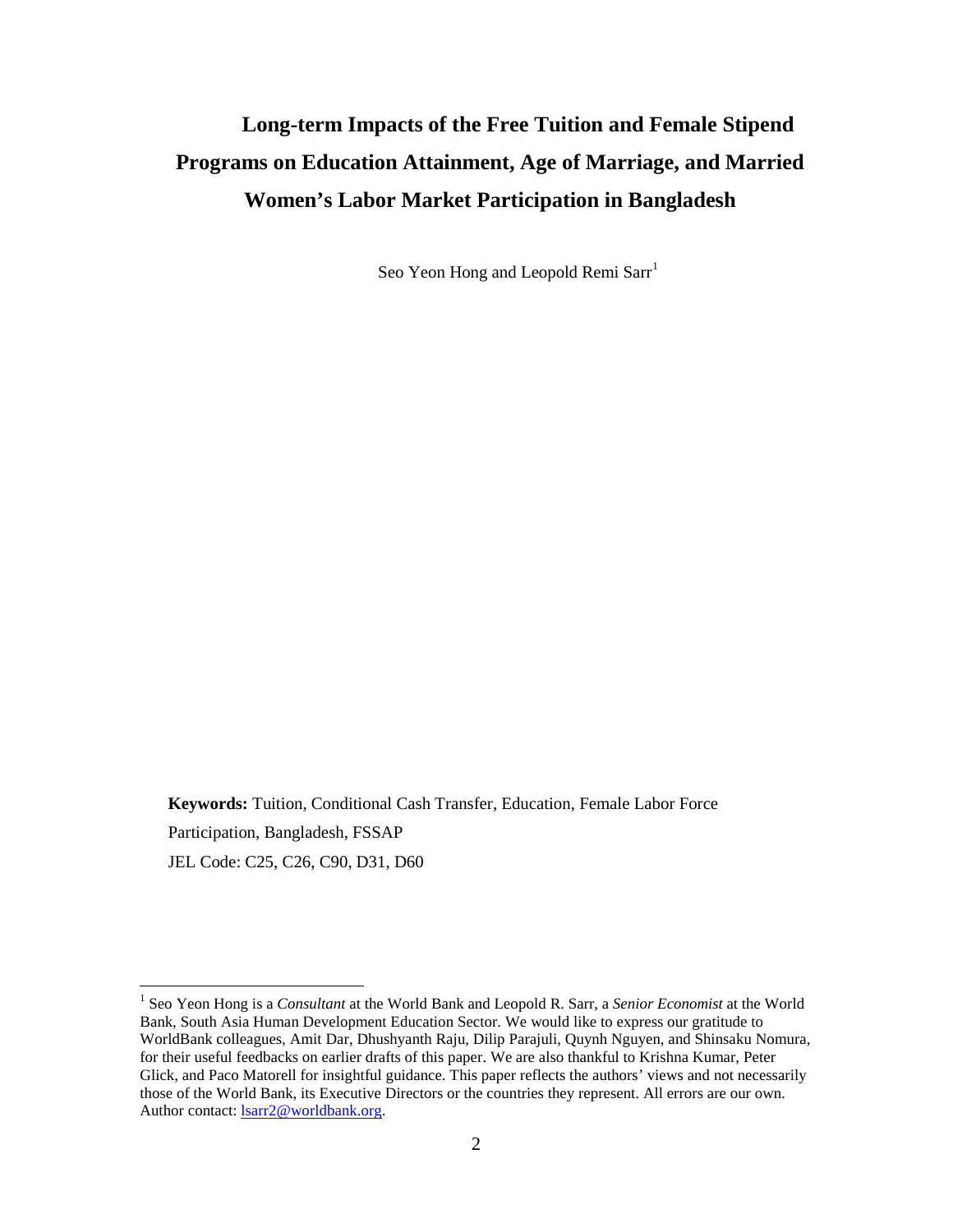# **Long-term Impacts of the Free Tuition and Female Stipend Programs on Education Attainment, Age of Marriage, and Married Women's Labor Market Participation in Bangladesh**

Seo Yeon Hong and Leopold Remi Sarr<sup>[1](#page-1-0)</sup>

**Keywords:** Tuition, Conditional Cash Transfer, Education, Female Labor Force Participation, Bangladesh, FSSAP JEL Code: C25, C26, C90, D31, D60

<span id="page-1-0"></span> <sup>1</sup> Seo Yeon Hong is a *Consultant* at the World Bank and Leopold R. Sarr, a *Senior Economist* at the World Bank, South Asia Human Development Education Sector. We would like to express our gratitude to WorldBank colleagues, Amit Dar, Dhushyanth Raju, Dilip Parajuli, Quynh Nguyen, and Shinsaku Nomura, for their useful feedbacks on earlier drafts of this paper. We are also thankful to Krishna Kumar, Peter Glick, and Paco Matorell for insightful guidance. This paper reflects the authors' views and not necessarily those of the World Bank, its Executive Directors or the countries they represent. All errors are our own. Author contact: **lsarr2@worldbank.org**.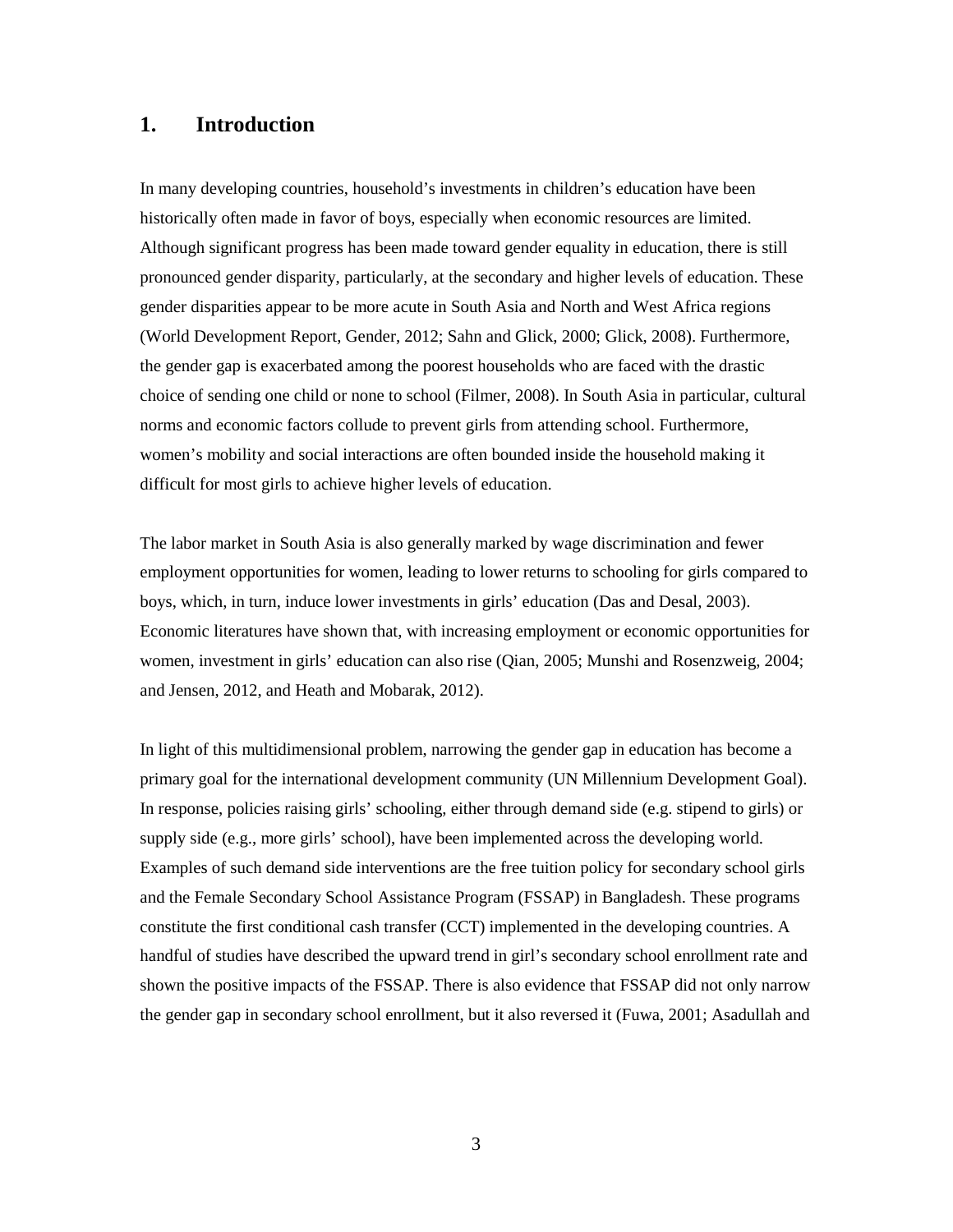## **1. Introduction**

In many developing countries, household's investments in children's education have been historically often made in favor of boys, especially when economic resources are limited. Although significant progress has been made toward gender equality in education, there is still pronounced gender disparity, particularly, at the secondary and higher levels of education. These gender disparities appear to be more acute in South Asia and North and West Africa regions (World Development Report, Gender, 2012; Sahn and Glick, 2000; Glick, 2008). Furthermore, the gender gap is exacerbated among the poorest households who are faced with the drastic choice of sending one child or none to school (Filmer, 2008). In South Asia in particular, cultural norms and economic factors collude to prevent girls from attending school. Furthermore, women's mobility and social interactions are often bounded inside the household making it difficult for most girls to achieve higher levels of education.

The labor market in South Asia is also generally marked by wage discrimination and fewer employment opportunities for women, leading to lower returns to schooling for girls compared to boys, which, in turn, induce lower investments in girls' education (Das and Desal, 2003). Economic literatures have shown that, with increasing employment or economic opportunities for women, investment in girls' education can also rise (Qian, 2005; Munshi and Rosenzweig, 2004; and Jensen, 2012, and Heath and Mobarak, 2012).

In light of this multidimensional problem, narrowing the gender gap in education has become a primary goal for the international development community (UN Millennium Development Goal). In response, policies raising girls' schooling, either through demand side (e.g. stipend to girls) or supply side (e.g., more girls' school), have been implemented across the developing world. Examples of such demand side interventions are the free tuition policy for secondary school girls and the Female Secondary School Assistance Program (FSSAP) in Bangladesh. These programs constitute the first conditional cash transfer (CCT) implemented in the developing countries. A handful of studies have described the upward trend in girl's secondary school enrollment rate and shown the positive impacts of the FSSAP. There is also evidence that FSSAP did not only narrow the gender gap in secondary school enrollment, but it also reversed it (Fuwa, 2001; Asadullah and

3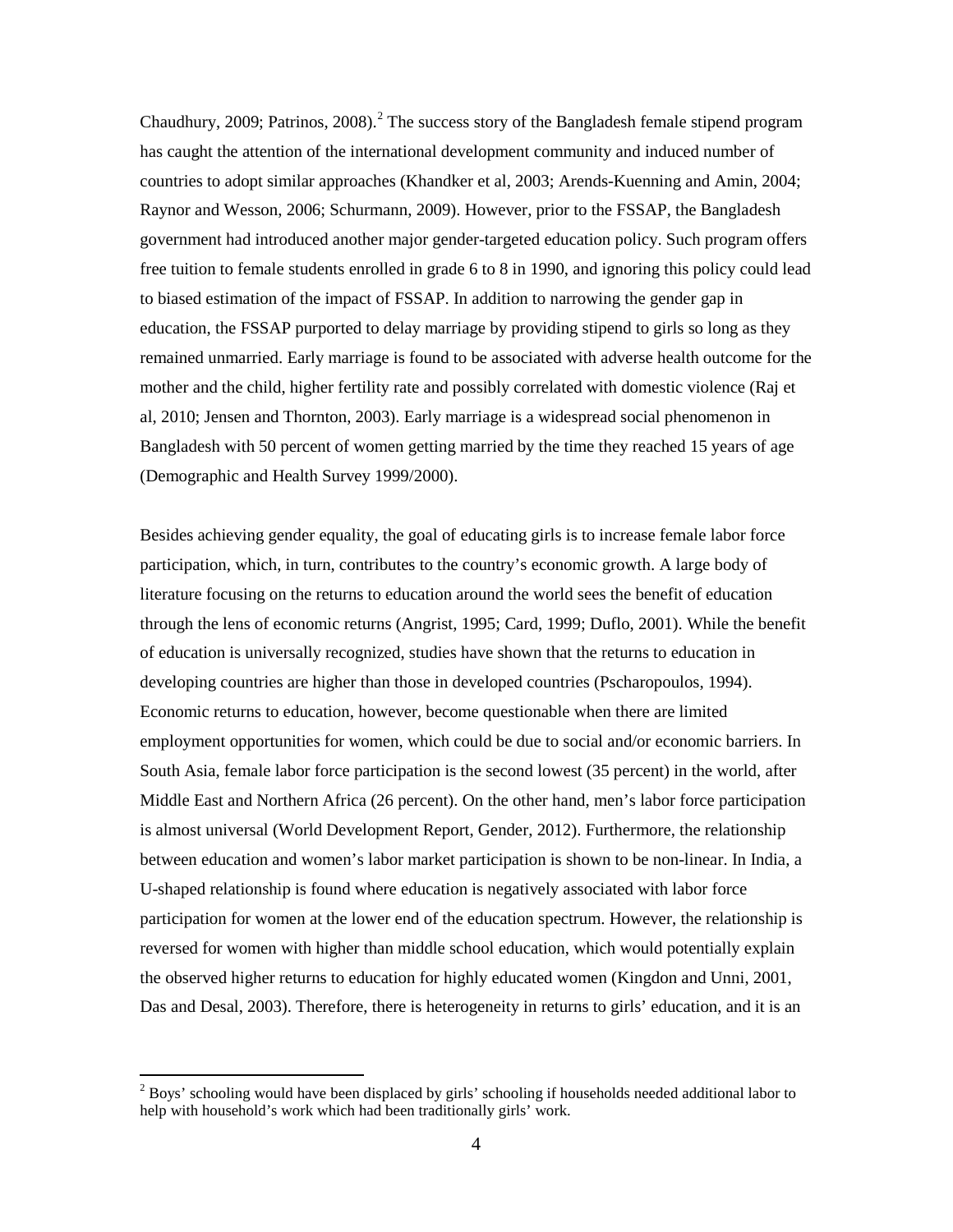Chaudhury, [2](#page-3-0)009; Patrinos, 2008).<sup>2</sup> The success story of the Bangladesh female stipend program has caught the attention of the international development community and induced number of countries to adopt similar approaches (Khandker et al, 2003; Arends-Kuenning and Amin, 2004; Raynor and Wesson, 2006; Schurmann, 2009). However, prior to the FSSAP, the Bangladesh government had introduced another major gender-targeted education policy. Such program offers free tuition to female students enrolled in grade 6 to 8 in 1990, and ignoring this policy could lead to biased estimation of the impact of FSSAP. In addition to narrowing the gender gap in education, the FSSAP purported to delay marriage by providing stipend to girls so long as they remained unmarried. Early marriage is found to be associated with adverse health outcome for the mother and the child, higher fertility rate and possibly correlated with domestic violence (Raj et al, 2010; Jensen and Thornton, 2003). Early marriage is a widespread social phenomenon in Bangladesh with 50 percent of women getting married by the time they reached 15 years of age (Demographic and Health Survey 1999/2000).

Besides achieving gender equality, the goal of educating girls is to increase female labor force participation, which, in turn, contributes to the country's economic growth. A large body of literature focusing on the returns to education around the world sees the benefit of education through the lens of economic returns (Angrist, 1995; Card, 1999; Duflo, 2001). While the benefit of education is universally recognized, studies have shown that the returns to education in developing countries are higher than those in developed countries (Pscharopoulos, 1994). Economic returns to education, however, become questionable when there are limited employment opportunities for women, which could be due to social and/or economic barriers. In South Asia, female labor force participation is the second lowest (35 percent) in the world, after Middle East and Northern Africa (26 percent). On the other hand, men's labor force participation is almost universal (World Development Report, Gender, 2012). Furthermore, the relationship between education and women's labor market participation is shown to be non-linear. In India, a U-shaped relationship is found where education is negatively associated with labor force participation for women at the lower end of the education spectrum. However, the relationship is reversed for women with higher than middle school education, which would potentially explain the observed higher returns to education for highly educated women (Kingdon and Unni, 2001, Das and Desal, 2003). Therefore, there is heterogeneity in returns to girls' education, and it is an

<span id="page-3-0"></span><sup>&</sup>lt;sup>2</sup> Boys' schooling would have been displaced by girls' schooling if households needed additional labor to help with household's work which had been traditionally girls' work.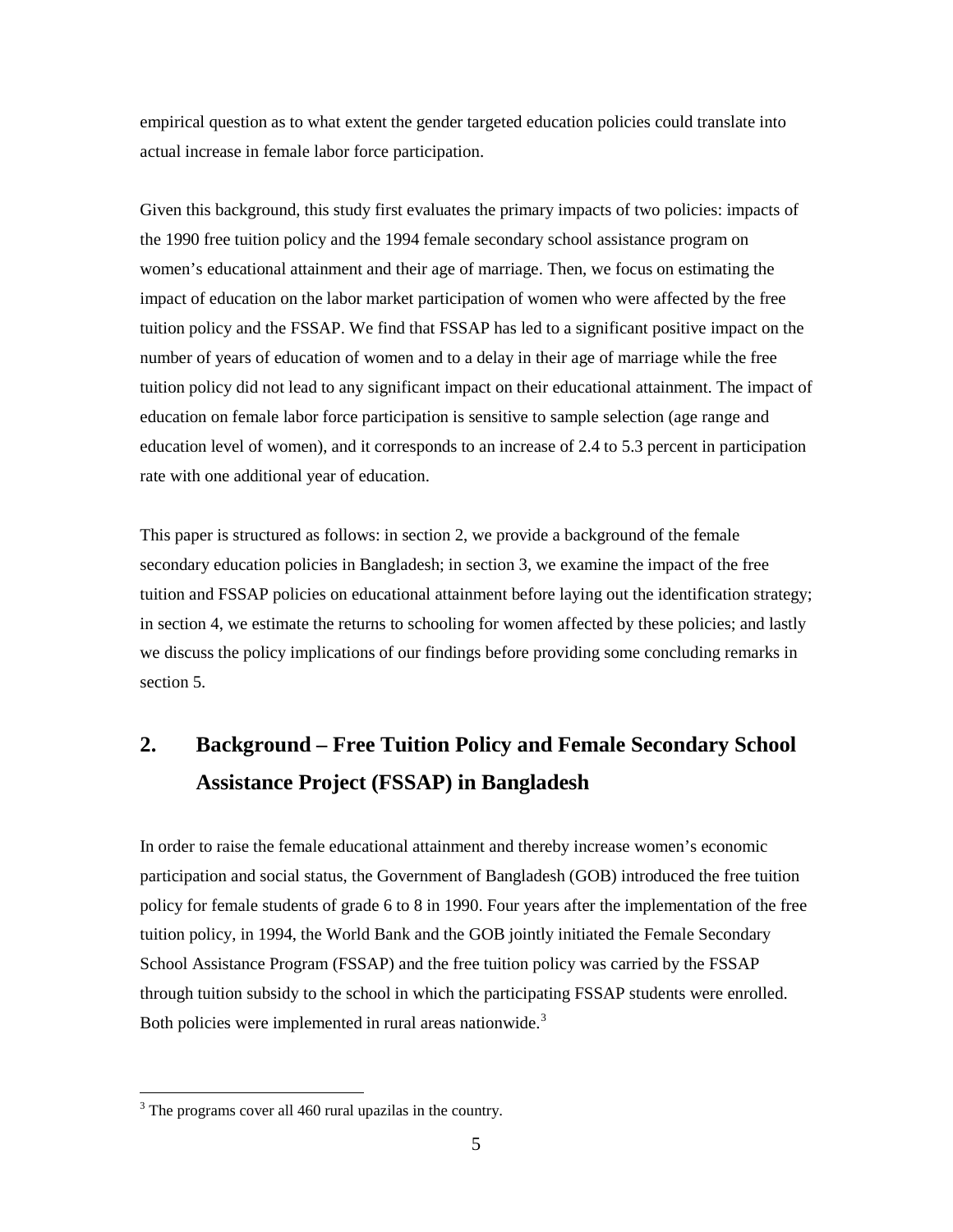empirical question as to what extent the gender targeted education policies could translate into actual increase in female labor force participation.

Given this background, this study first evaluates the primary impacts of two policies: impacts of the 1990 free tuition policy and the 1994 female secondary school assistance program on women's educational attainment and their age of marriage. Then, we focus on estimating the impact of education on the labor market participation of women who were affected by the free tuition policy and the FSSAP. We find that FSSAP has led to a significant positive impact on the number of years of education of women and to a delay in their age of marriage while the free tuition policy did not lead to any significant impact on their educational attainment. The impact of education on female labor force participation is sensitive to sample selection (age range and education level of women), and it corresponds to an increase of 2.4 to 5.3 percent in participation rate with one additional year of education.

This paper is structured as follows: in section 2, we provide a background of the female secondary education policies in Bangladesh; in section 3, we examine the impact of the free tuition and FSSAP policies on educational attainment before laying out the identification strategy; in section 4, we estimate the returns to schooling for women affected by these policies; and lastly we discuss the policy implications of our findings before providing some concluding remarks in section 5.

# **2. Background – Free Tuition Policy and Female Secondary School Assistance Project (FSSAP) in Bangladesh**

In order to raise the female educational attainment and thereby increase women's economic participation and social status, the Government of Bangladesh (GOB) introduced the free tuition policy for female students of grade 6 to 8 in 1990. Four years after the implementation of the free tuition policy, in 1994, the World Bank and the GOB jointly initiated the Female Secondary School Assistance Program (FSSAP) and the free tuition policy was carried by the FSSAP through tuition subsidy to the school in which the participating FSSAP students were enrolled. Both policies were implemented in rural areas nationwide.<sup>[3](#page-4-0)</sup>

<span id="page-4-0"></span><sup>&</sup>lt;sup>3</sup> The programs cover all 460 rural upazilas in the country.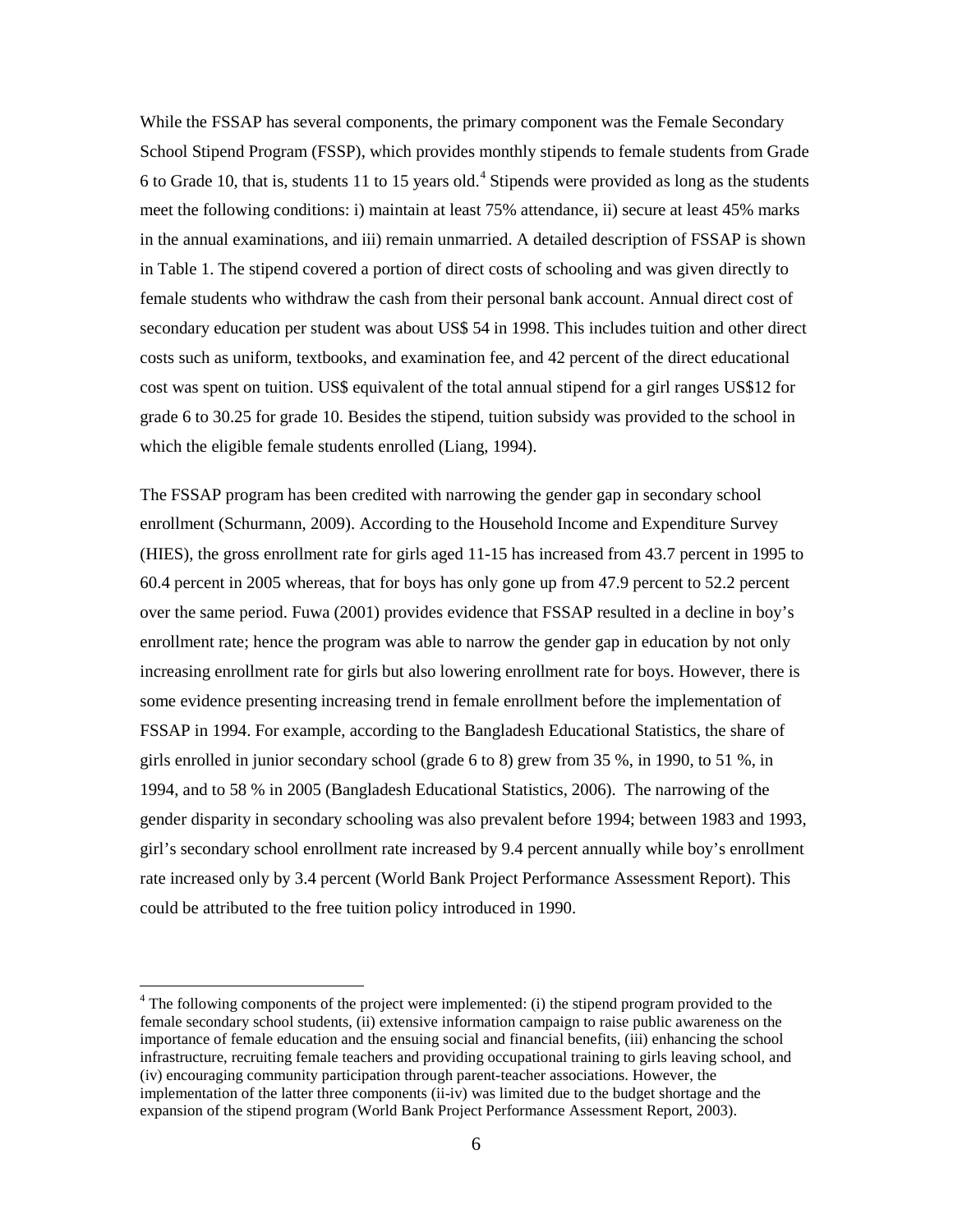While the FSSAP has several components, the primary component was the Female Secondary School Stipend Program (FSSP), which provides monthly stipends to female students from Grade 6 to Grade 10, that is, students 11 to 15 years old. [4](#page-5-0) Stipends were provided as long as the students meet the following conditions: i) maintain at least 75% attendance, ii) secure at least 45% marks in the annual examinations, and iii) remain unmarried. A detailed description of FSSAP is shown in Table 1. The stipend covered a portion of direct costs of schooling and was given directly to female students who withdraw the cash from their personal bank account. Annual direct cost of secondary education per student was about US\$ 54 in 1998. This includes tuition and other direct costs such as uniform, textbooks, and examination fee, and 42 percent of the direct educational cost was spent on tuition. US\$ equivalent of the total annual stipend for a girl ranges US\$12 for grade 6 to 30.25 for grade 10. Besides the stipend, tuition subsidy was provided to the school in which the eligible female students enrolled (Liang, 1994).

The FSSAP program has been credited with narrowing the gender gap in secondary school enrollment (Schurmann, 2009). According to the Household Income and Expenditure Survey (HIES), the gross enrollment rate for girls aged 11-15 has increased from 43.7 percent in 1995 to 60.4 percent in 2005 whereas, that for boys has only gone up from 47.9 percent to 52.2 percent over the same period. Fuwa (2001) provides evidence that FSSAP resulted in a decline in boy's enrollment rate; hence the program was able to narrow the gender gap in education by not only increasing enrollment rate for girls but also lowering enrollment rate for boys. However, there is some evidence presenting increasing trend in female enrollment before the implementation of FSSAP in 1994. For example, according to the Bangladesh Educational Statistics, the share of girls enrolled in junior secondary school (grade 6 to 8) grew from 35 %, in 1990, to 51 %, in 1994, and to 58 % in 2005 (Bangladesh Educational Statistics, 2006). The narrowing of the gender disparity in secondary schooling was also prevalent before 1994; between 1983 and 1993, girl's secondary school enrollment rate increased by 9.4 percent annually while boy's enrollment rate increased only by 3.4 percent (World Bank Project Performance Assessment Report). This could be attributed to the free tuition policy introduced in 1990.

<span id="page-5-0"></span> $4$  The following components of the project were implemented: (i) the stipend program provided to the female secondary school students, (ii) extensive information campaign to raise public awareness on the importance of female education and the ensuing social and financial benefits, (iii) enhancing the school infrastructure, recruiting female teachers and providing occupational training to girls leaving school, and (iv) encouraging community participation through parent-teacher associations. However, the implementation of the latter three components (ii-iv) was limited due to the budget shortage and the expansion of the stipend program (World Bank Project Performance Assessment Report, 2003).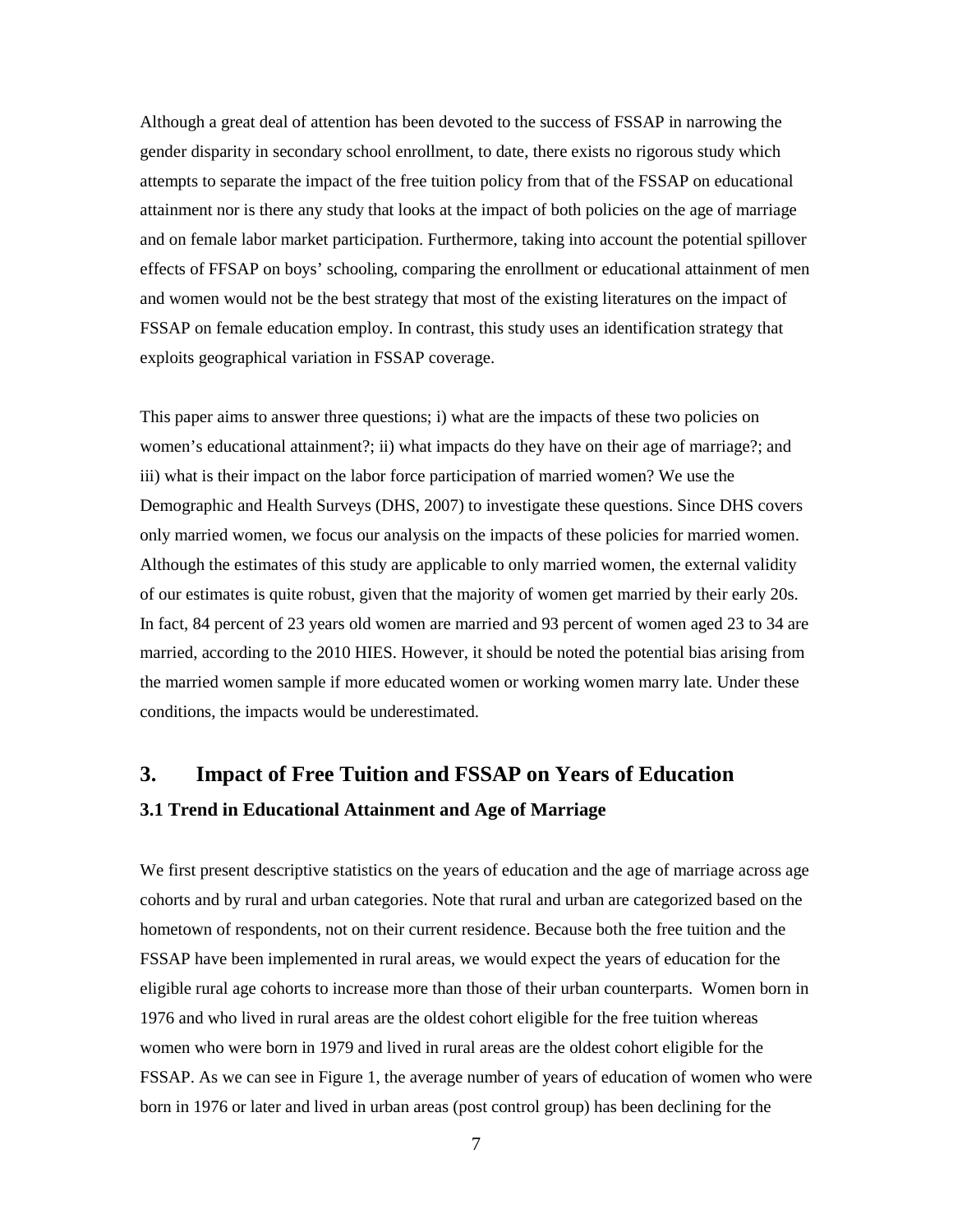Although a great deal of attention has been devoted to the success of FSSAP in narrowing the gender disparity in secondary school enrollment, to date, there exists no rigorous study which attempts to separate the impact of the free tuition policy from that of the FSSAP on educational attainment nor is there any study that looks at the impact of both policies on the age of marriage and on female labor market participation. Furthermore, taking into account the potential spillover effects of FFSAP on boys' schooling, comparing the enrollment or educational attainment of men and women would not be the best strategy that most of the existing literatures on the impact of FSSAP on female education employ. In contrast, this study uses an identification strategy that exploits geographical variation in FSSAP coverage.

This paper aims to answer three questions; i) what are the impacts of these two policies on women's educational attainment?; ii) what impacts do they have on their age of marriage?; and iii) what is their impact on the labor force participation of married women? We use the Demographic and Health Surveys (DHS, 2007) to investigate these questions. Since DHS covers only married women, we focus our analysis on the impacts of these policies for married women. Although the estimates of this study are applicable to only married women, the external validity of our estimates is quite robust, given that the majority of women get married by their early 20s. In fact, 84 percent of 23 years old women are married and 93 percent of women aged 23 to 34 are married, according to the 2010 HIES. However, it should be noted the potential bias arising from the married women sample if more educated women or working women marry late. Under these conditions, the impacts would be underestimated.

### **3. Impact of Free Tuition and FSSAP on Years of Education**

#### **3.1 Trend in Educational Attainment and Age of Marriage**

We first present descriptive statistics on the years of education and the age of marriage across age cohorts and by rural and urban categories. Note that rural and urban are categorized based on the hometown of respondents, not on their current residence. Because both the free tuition and the FSSAP have been implemented in rural areas, we would expect the years of education for the eligible rural age cohorts to increase more than those of their urban counterparts. Women born in 1976 and who lived in rural areas are the oldest cohort eligible for the free tuition whereas women who were born in 1979 and lived in rural areas are the oldest cohort eligible for the FSSAP. As we can see in Figure 1, the average number of years of education of women who were born in 1976 or later and lived in urban areas (post control group) has been declining for the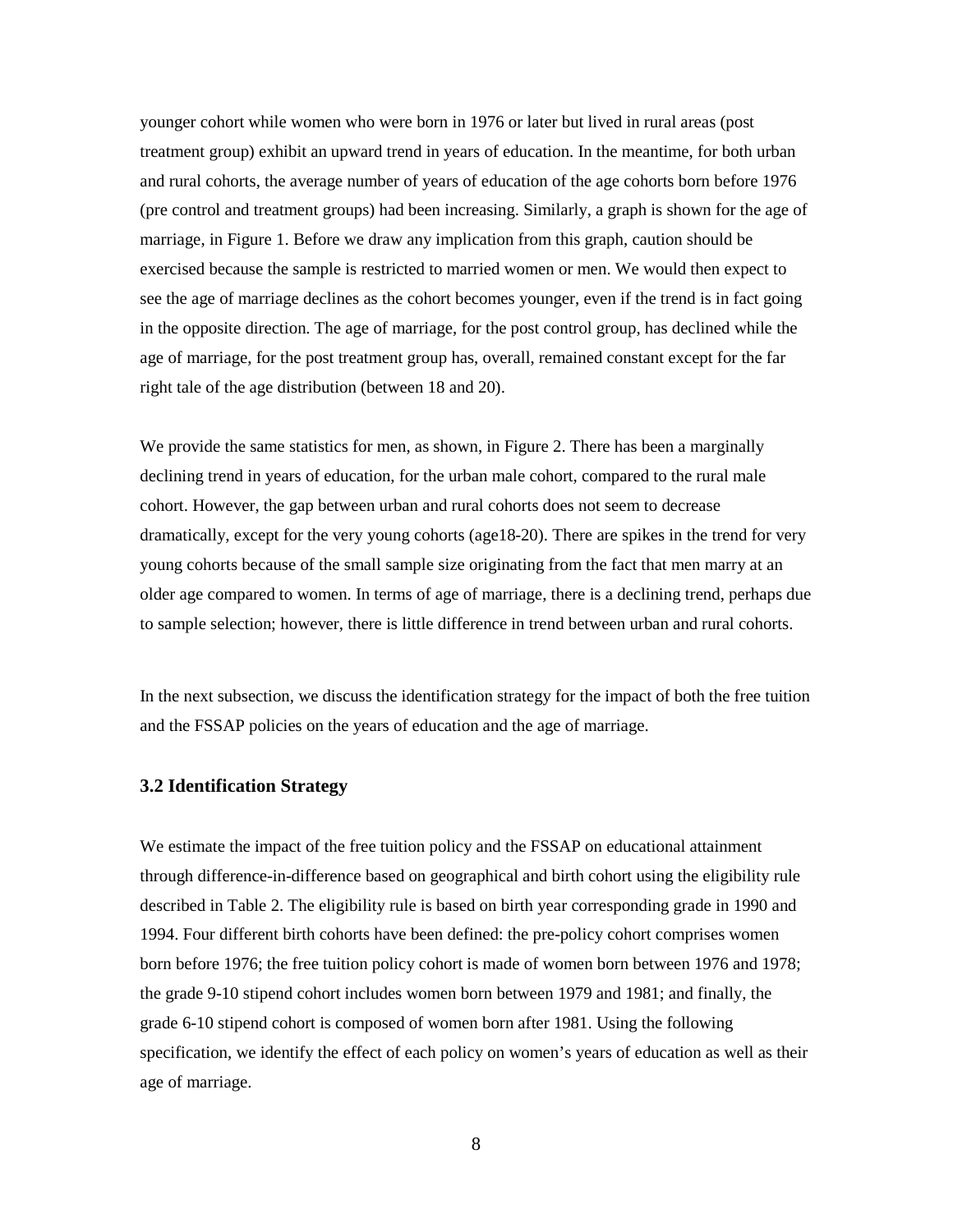younger cohort while women who were born in 1976 or later but lived in rural areas (post treatment group) exhibit an upward trend in years of education. In the meantime, for both urban and rural cohorts, the average number of years of education of the age cohorts born before 1976 (pre control and treatment groups) had been increasing. Similarly, a graph is shown for the age of marriage, in Figure 1. Before we draw any implication from this graph, caution should be exercised because the sample is restricted to married women or men. We would then expect to see the age of marriage declines as the cohort becomes younger, even if the trend is in fact going in the opposite direction. The age of marriage, for the post control group, has declined while the age of marriage, for the post treatment group has, overall, remained constant except for the far right tale of the age distribution (between 18 and 20).

We provide the same statistics for men, as shown, in Figure 2. There has been a marginally declining trend in years of education, for the urban male cohort, compared to the rural male cohort. However, the gap between urban and rural cohorts does not seem to decrease dramatically, except for the very young cohorts (age18-20). There are spikes in the trend for very young cohorts because of the small sample size originating from the fact that men marry at an older age compared to women. In terms of age of marriage, there is a declining trend, perhaps due to sample selection; however, there is little difference in trend between urban and rural cohorts.

In the next subsection, we discuss the identification strategy for the impact of both the free tuition and the FSSAP policies on the years of education and the age of marriage.

#### **3.2 Identification Strategy**

We estimate the impact of the free tuition policy and the FSSAP on educational attainment through difference-in-difference based on geographical and birth cohort using the eligibility rule described in Table 2. The eligibility rule is based on birth year corresponding grade in 1990 and 1994. Four different birth cohorts have been defined: the pre-policy cohort comprises women born before 1976; the free tuition policy cohort is made of women born between 1976 and 1978; the grade 9-10 stipend cohort includes women born between 1979 and 1981; and finally, the grade 6-10 stipend cohort is composed of women born after 1981. Using the following specification, we identify the effect of each policy on women's years of education as well as their age of marriage.

8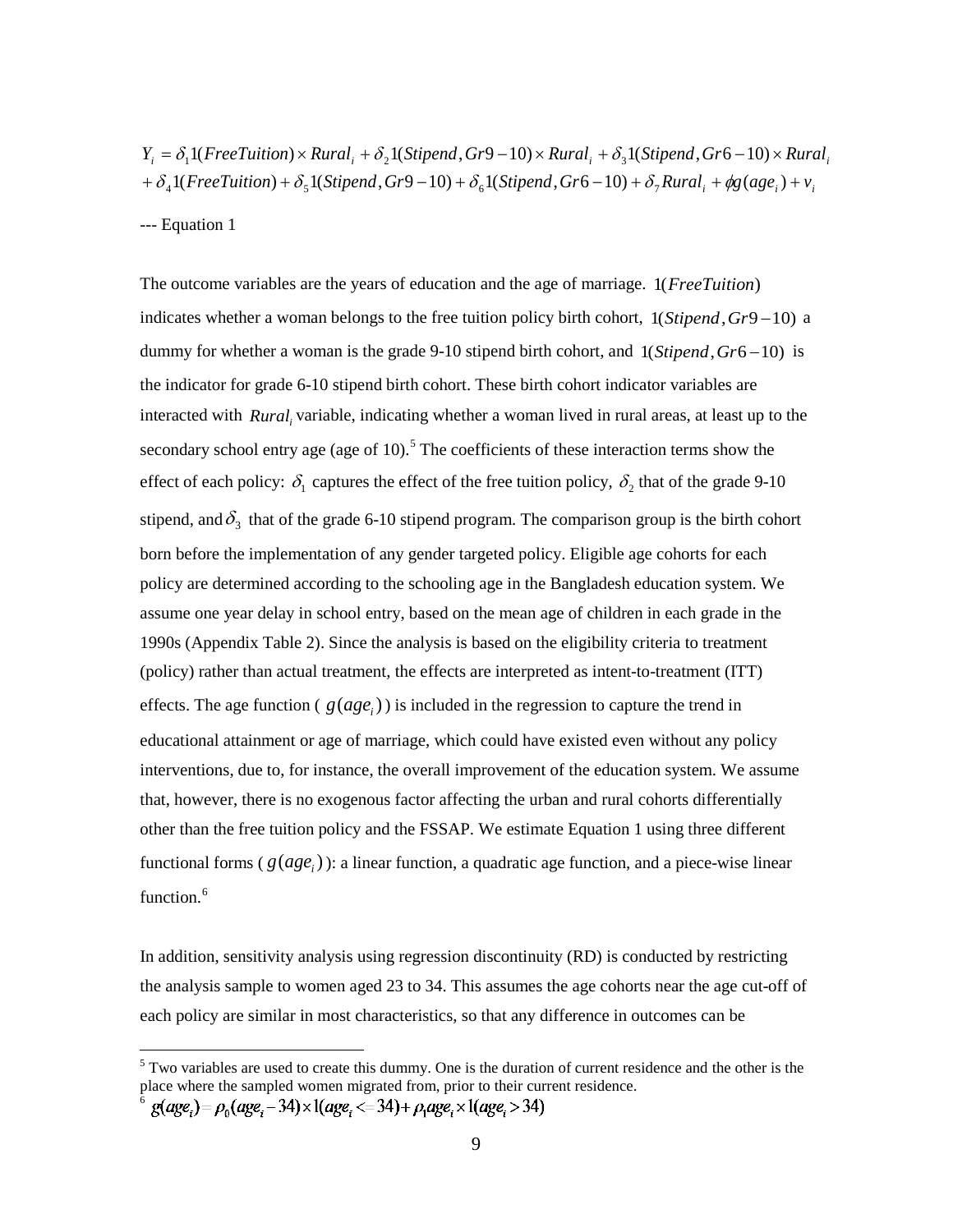$+ \delta_4 1(FreeTution) + \delta_5 1(Stipend, Gr9 - 10) + \delta_6 1(Stipend, Gr6 - 10) + \delta_7 Rural_i + \phi g(age_i) + v_i$  $Y_i = \delta_1 1$ (*FreeTuition*) × *Rural*<sub>*i*</sub> +  $\delta_2 1$ (*Stipend*, *Gr*9 – 10) × *Rural*<sub>*i*</sub> +  $\delta_3 1$ (*Stipend*, *Gr*6 – 10) × *Rural*<sub>*i*</sub>

#### --- Equation 1

The outcome variables are the years of education and the age of marriage. 1(*FreeTuition*) indicates whether a woman belongs to the free tuition policy birth cohort, 1(*Stipend*, *Gr*9−10) a dummy for whether a woman is the grade 9-10 stipend birth cohort, and 1(*Stipend*, *Gr*6−10) is the indicator for grade 6-10 stipend birth cohort. These birth cohort indicator variables are interacted with *Rural<sub>i</sub>* variable, indicating whether a woman lived in rural areas, at least up to the secondary school entry age (age of 10).<sup>[5](#page-8-0)</sup> The coefficients of these interaction terms show the effect of each policy:  $\delta_1$  captures the effect of the free tuition policy,  $\delta_2$  that of the grade 9-10 stipend, and  $\delta_3$  that of the grade 6-10 stipend program. The comparison group is the birth cohort born before the implementation of any gender targeted policy. Eligible age cohorts for each policy are determined according to the schooling age in the Bangladesh education system. We assume one year delay in school entry, based on the mean age of children in each grade in the 1990s (Appendix Table 2). Since the analysis is based on the eligibility criteria to treatment (policy) rather than actual treatment, the effects are interpreted as intent-to-treatment (ITT) effects. The age function ( $g(age_i)$ ) is included in the regression to capture the trend in educational attainment or age of marriage, which could have existed even without any policy interventions, due to, for instance, the overall improvement of the education system. We assume that, however, there is no exogenous factor affecting the urban and rural cohorts differentially other than the free tuition policy and the FSSAP. We estimate Equation 1 using three different functional forms ( $g(age_i)$ ): a linear function, a quadratic age function, and a piece-wise linear function. [6](#page-8-1)

In addition, sensitivity analysis using regression discontinuity (RD) is conducted by restricting the analysis sample to women aged 23 to 34. This assumes the age cohorts near the age cut-off of each policy are similar in most characteristics, so that any difference in outcomes can be

<span id="page-8-0"></span><sup>&</sup>lt;sup>5</sup> Two variables are used to create this dummy. One is the duration of current residence and the other is the place where the sampled women migrated from, prior to their current residence.

<span id="page-8-1"></span> $g(age_i) = \rho_0(age_i - 34) \times 1(age_i \ll 34) + \rho_1age_i \times 1(age_i > 34)$ 6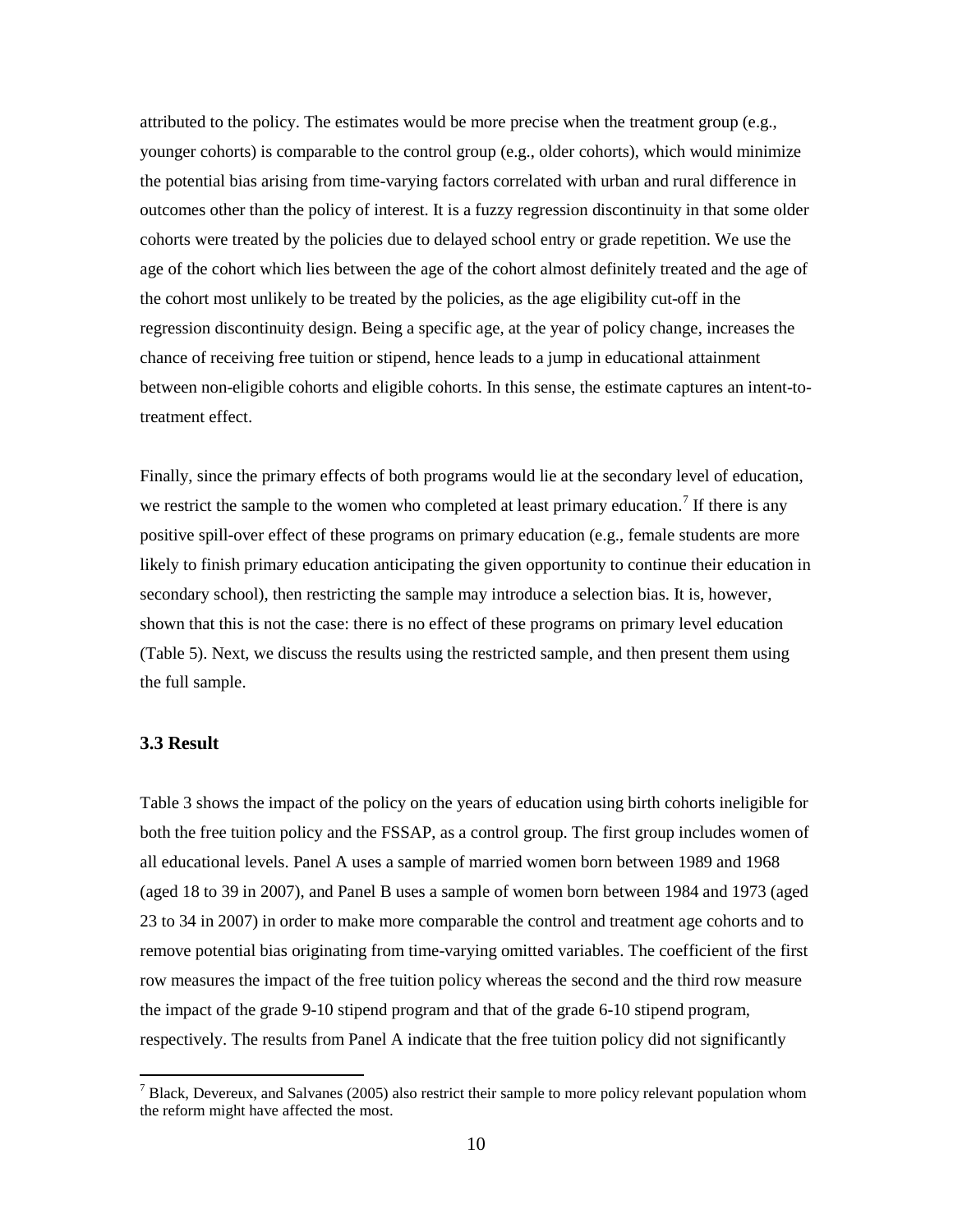attributed to the policy. The estimates would be more precise when the treatment group (e.g., younger cohorts) is comparable to the control group (e.g., older cohorts), which would minimize the potential bias arising from time-varying factors correlated with urban and rural difference in outcomes other than the policy of interest. It is a fuzzy regression discontinuity in that some older cohorts were treated by the policies due to delayed school entry or grade repetition. We use the age of the cohort which lies between the age of the cohort almost definitely treated and the age of the cohort most unlikely to be treated by the policies, as the age eligibility cut-off in the regression discontinuity design. Being a specific age, at the year of policy change, increases the chance of receiving free tuition or stipend, hence leads to a jump in educational attainment between non-eligible cohorts and eligible cohorts. In this sense, the estimate captures an intent-totreatment effect.

Finally, since the primary effects of both programs would lie at the secondary level of education, we restrict the sample to the women who completed at least primary education.<sup>[7](#page-9-0)</sup> If there is any positive spill-over effect of these programs on primary education (e.g., female students are more likely to finish primary education anticipating the given opportunity to continue their education in secondary school), then restricting the sample may introduce a selection bias. It is, however, shown that this is not the case: there is no effect of these programs on primary level education (Table 5). Next, we discuss the results using the restricted sample, and then present them using the full sample.

#### **3.3 Result**

Table 3 shows the impact of the policy on the years of education using birth cohorts ineligible for both the free tuition policy and the FSSAP, as a control group. The first group includes women of all educational levels. Panel A uses a sample of married women born between 1989 and 1968 (aged 18 to 39 in 2007), and Panel B uses a sample of women born between 1984 and 1973 (aged 23 to 34 in 2007) in order to make more comparable the control and treatment age cohorts and to remove potential bias originating from time-varying omitted variables. The coefficient of the first row measures the impact of the free tuition policy whereas the second and the third row measure the impact of the grade 9-10 stipend program and that of the grade 6-10 stipend program, respectively. The results from Panel A indicate that the free tuition policy did not significantly

<span id="page-9-0"></span> $<sup>7</sup>$  Black. Devereux, and Salvanes (2005) also restrict their sample to more policy relevant population whom</sup> the reform might have affected the most.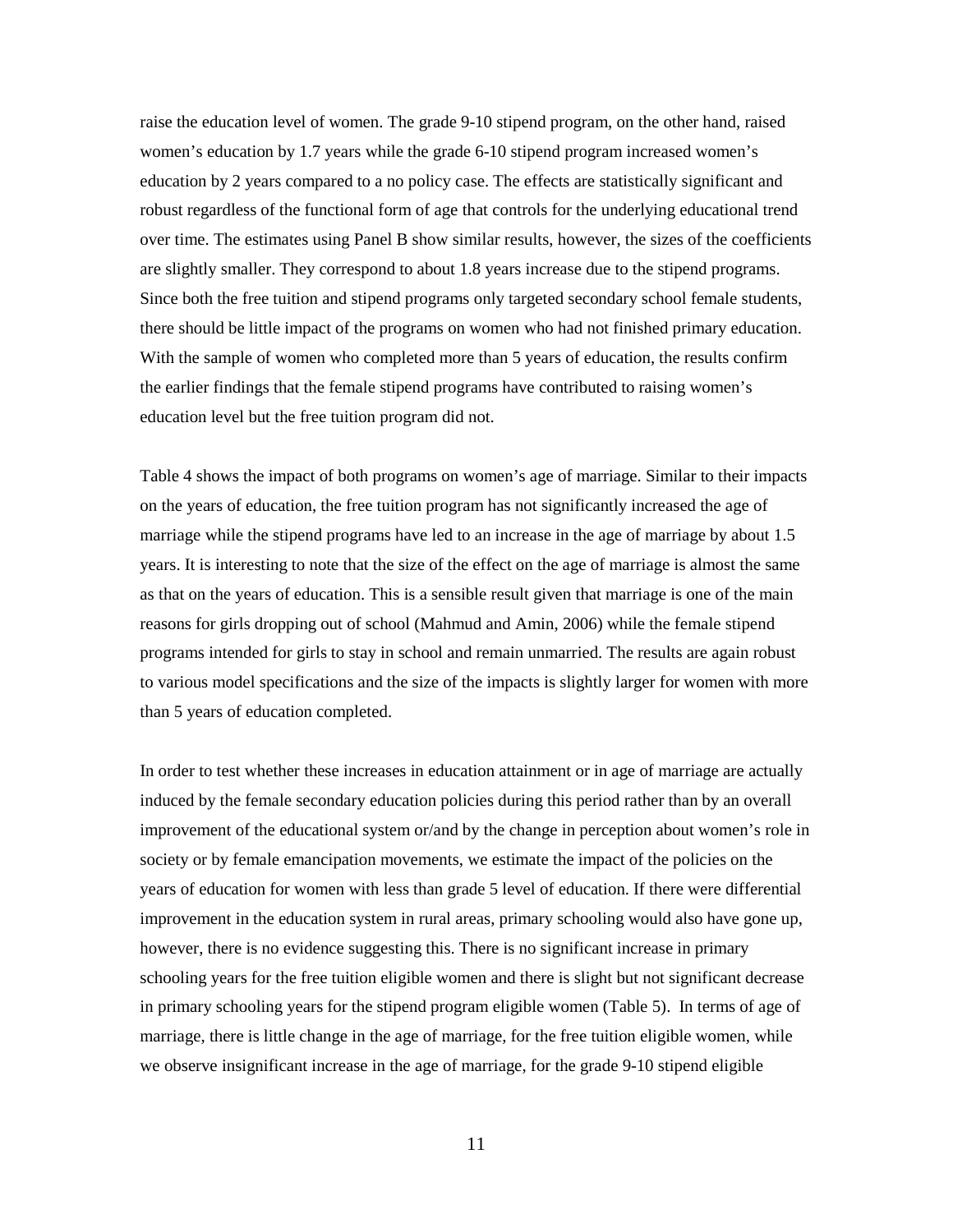raise the education level of women. The grade 9-10 stipend program, on the other hand, raised women's education by 1.7 years while the grade 6-10 stipend program increased women's education by 2 years compared to a no policy case. The effects are statistically significant and robust regardless of the functional form of age that controls for the underlying educational trend over time. The estimates using Panel B show similar results, however, the sizes of the coefficients are slightly smaller. They correspond to about 1.8 years increase due to the stipend programs. Since both the free tuition and stipend programs only targeted secondary school female students, there should be little impact of the programs on women who had not finished primary education. With the sample of women who completed more than 5 years of education, the results confirm the earlier findings that the female stipend programs have contributed to raising women's education level but the free tuition program did not.

Table 4 shows the impact of both programs on women's age of marriage. Similar to their impacts on the years of education, the free tuition program has not significantly increased the age of marriage while the stipend programs have led to an increase in the age of marriage by about 1.5 years. It is interesting to note that the size of the effect on the age of marriage is almost the same as that on the years of education. This is a sensible result given that marriage is one of the main reasons for girls dropping out of school (Mahmud and Amin, 2006) while the female stipend programs intended for girls to stay in school and remain unmarried. The results are again robust to various model specifications and the size of the impacts is slightly larger for women with more than 5 years of education completed.

In order to test whether these increases in education attainment or in age of marriage are actually induced by the female secondary education policies during this period rather than by an overall improvement of the educational system or/and by the change in perception about women's role in society or by female emancipation movements, we estimate the impact of the policies on the years of education for women with less than grade 5 level of education. If there were differential improvement in the education system in rural areas, primary schooling would also have gone up, however, there is no evidence suggesting this. There is no significant increase in primary schooling years for the free tuition eligible women and there is slight but not significant decrease in primary schooling years for the stipend program eligible women (Table 5). In terms of age of marriage, there is little change in the age of marriage, for the free tuition eligible women, while we observe insignificant increase in the age of marriage, for the grade 9-10 stipend eligible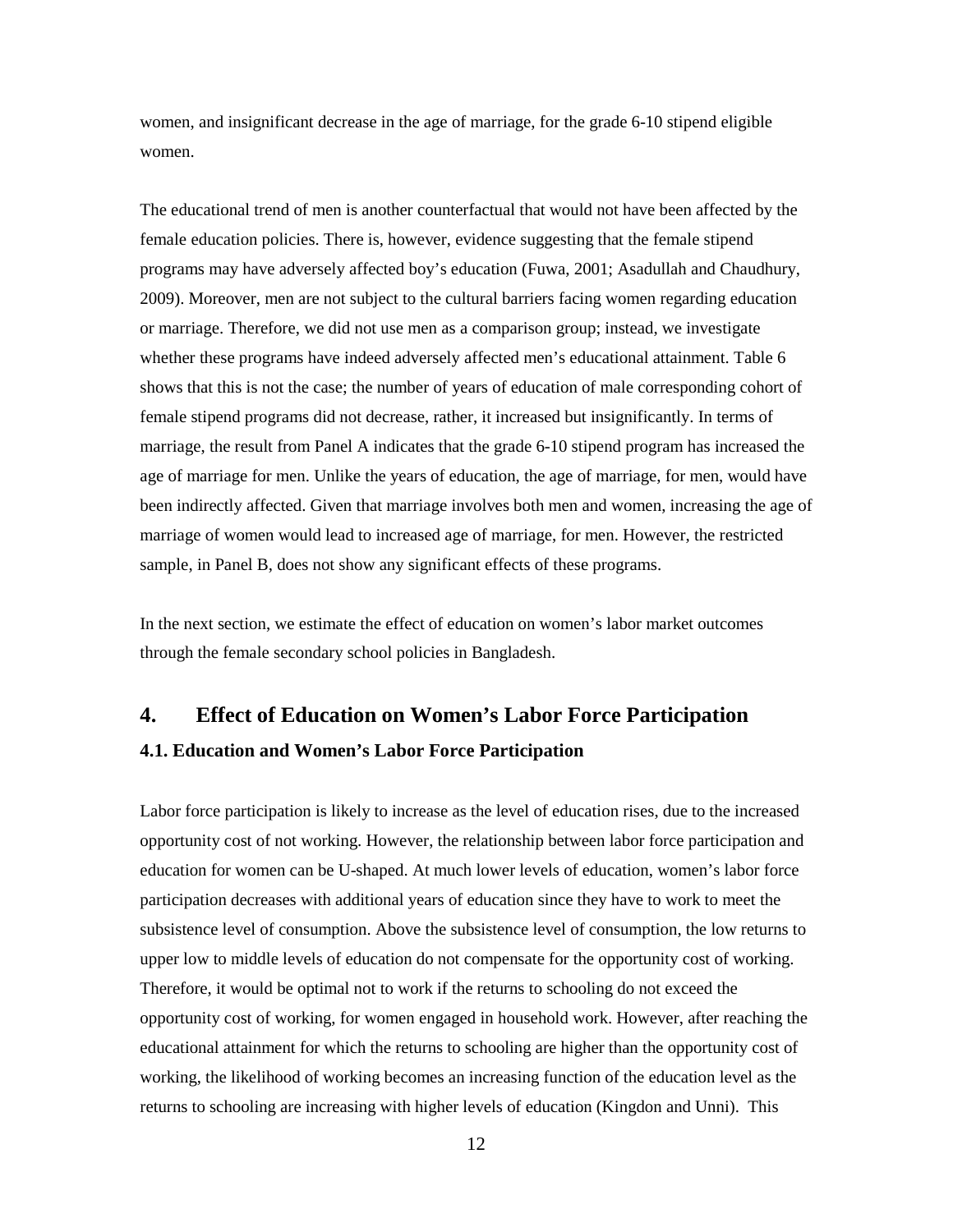women, and insignificant decrease in the age of marriage, for the grade 6-10 stipend eligible women.

The educational trend of men is another counterfactual that would not have been affected by the female education policies. There is, however, evidence suggesting that the female stipend programs may have adversely affected boy's education (Fuwa, 2001; Asadullah and Chaudhury, 2009). Moreover, men are not subject to the cultural barriers facing women regarding education or marriage. Therefore, we did not use men as a comparison group; instead, we investigate whether these programs have indeed adversely affected men's educational attainment. Table 6 shows that this is not the case; the number of years of education of male corresponding cohort of female stipend programs did not decrease, rather, it increased but insignificantly. In terms of marriage, the result from Panel A indicates that the grade 6-10 stipend program has increased the age of marriage for men. Unlike the years of education, the age of marriage, for men, would have been indirectly affected. Given that marriage involves both men and women, increasing the age of marriage of women would lead to increased age of marriage, for men. However, the restricted sample, in Panel B, does not show any significant effects of these programs.

In the next section, we estimate the effect of education on women's labor market outcomes through the female secondary school policies in Bangladesh.

## **4. Effect of Education on Women's Labor Force Participation 4.1. Education and Women's Labor Force Participation**

Labor force participation is likely to increase as the level of education rises, due to the increased opportunity cost of not working. However, the relationship between labor force participation and education for women can be U-shaped. At much lower levels of education, women's labor force participation decreases with additional years of education since they have to work to meet the subsistence level of consumption. Above the subsistence level of consumption, the low returns to upper low to middle levels of education do not compensate for the opportunity cost of working. Therefore, it would be optimal not to work if the returns to schooling do not exceed the opportunity cost of working, for women engaged in household work. However, after reaching the educational attainment for which the returns to schooling are higher than the opportunity cost of working, the likelihood of working becomes an increasing function of the education level as the returns to schooling are increasing with higher levels of education (Kingdon and Unni). This

12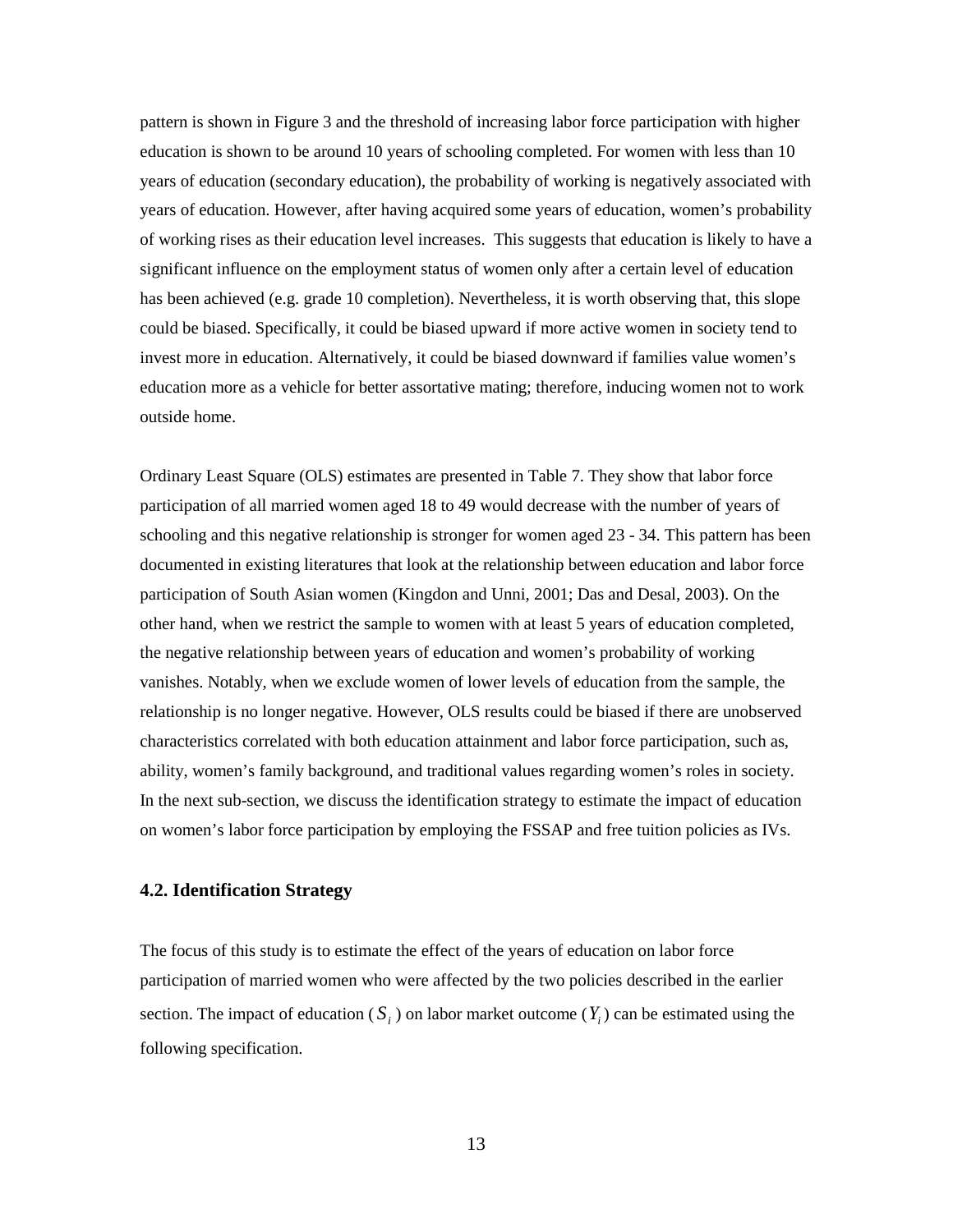pattern is shown in Figure 3 and the threshold of increasing labor force participation with higher education is shown to be around 10 years of schooling completed. For women with less than 10 years of education (secondary education), the probability of working is negatively associated with years of education. However, after having acquired some years of education, women's probability of working rises as their education level increases. This suggests that education is likely to have a significant influence on the employment status of women only after a certain level of education has been achieved (e.g. grade 10 completion). Nevertheless, it is worth observing that, this slope could be biased. Specifically, it could be biased upward if more active women in society tend to invest more in education. Alternatively, it could be biased downward if families value women's education more as a vehicle for better assortative mating; therefore, inducing women not to work outside home.

Ordinary Least Square (OLS) estimates are presented in Table 7. They show that labor force participation of all married women aged 18 to 49 would decrease with the number of years of schooling and this negative relationship is stronger for women aged 23 - 34. This pattern has been documented in existing literatures that look at the relationship between education and labor force participation of South Asian women (Kingdon and Unni, 2001; Das and Desal, 2003). On the other hand, when we restrict the sample to women with at least 5 years of education completed, the negative relationship between years of education and women's probability of working vanishes. Notably, when we exclude women of lower levels of education from the sample, the relationship is no longer negative. However, OLS results could be biased if there are unobserved characteristics correlated with both education attainment and labor force participation, such as, ability, women's family background, and traditional values regarding women's roles in society. In the next sub-section, we discuss the identification strategy to estimate the impact of education on women's labor force participation by employing the FSSAP and free tuition policies as IVs.

#### **4.2. Identification Strategy**

The focus of this study is to estimate the effect of the years of education on labor force participation of married women who were affected by the two policies described in the earlier section. The impact of education ( $S_i$ ) on labor market outcome ( $Y_i$ ) can be estimated using the following specification.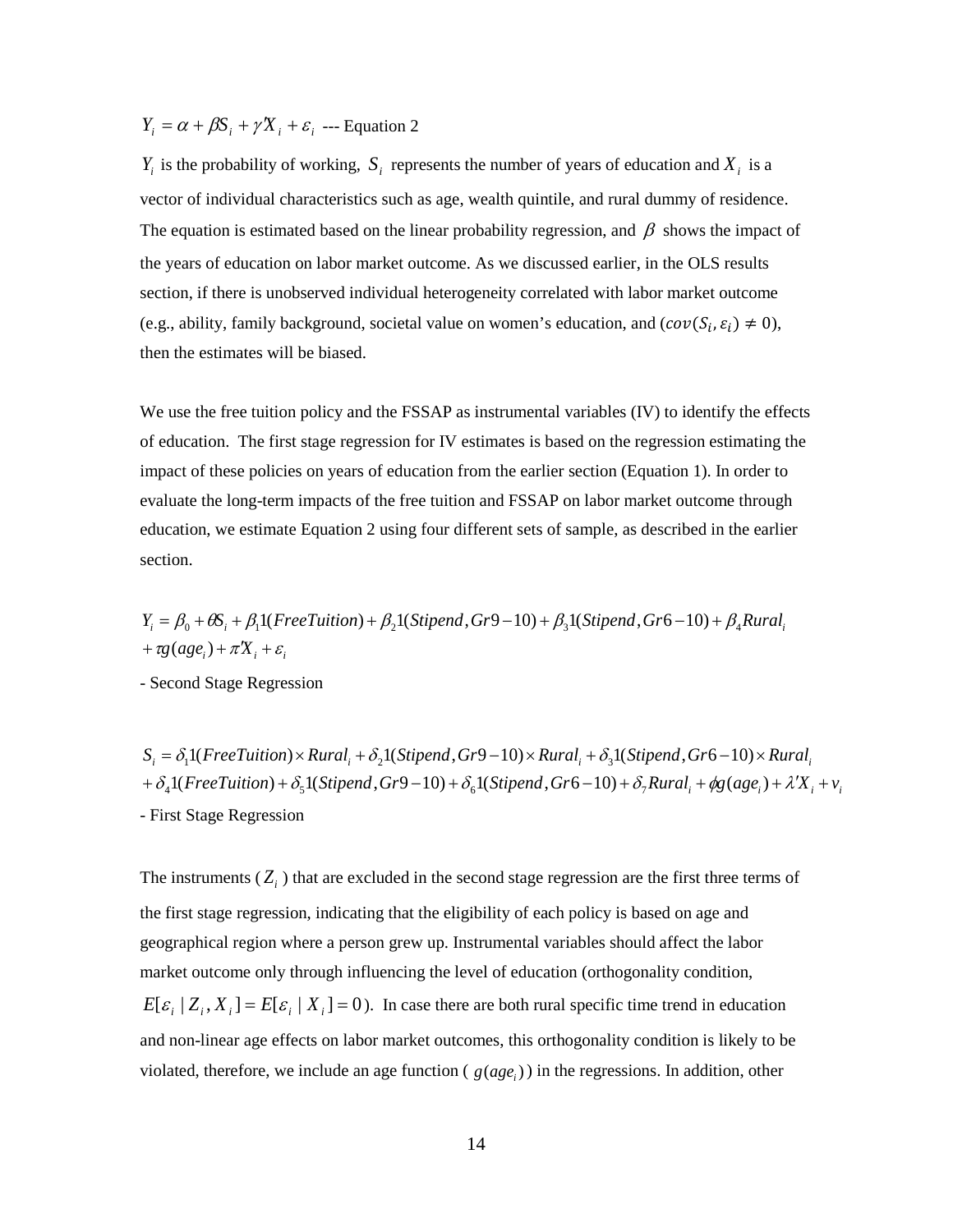$Y_i = \alpha + \beta S_i + \gamma X_i + \varepsilon_i$  --- Equation 2

 $Y_i$  is the probability of working,  $S_i$  represents the number of years of education and  $X_i$  is a vector of individual characteristics such as age, wealth quintile, and rural dummy of residence. The equation is estimated based on the linear probability regression, and  $\beta$  shows the impact of the years of education on labor market outcome. As we discussed earlier, in the OLS results section, if there is unobserved individual heterogeneity correlated with labor market outcome (e.g., ability, family background, societal value on women's education, and  $(cov(S_i, \varepsilon_i) \neq 0)$ , then the estimates will be biased.

We use the free tuition policy and the FSSAP as instrumental variables (IV) to identify the effects of education. The first stage regression for IV estimates is based on the regression estimating the impact of these policies on years of education from the earlier section (Equation 1). In order to evaluate the long-term impacts of the free tuition and FSSAP on labor market outcome through education, we estimate Equation 2 using four different sets of sample, as described in the earlier section.

$$
Y_i = \beta_0 + \theta S_i + \beta_1 \mathbf{1} (FreeTution) + \beta_2 \mathbf{1} (Stipend, Gr9-10) + \beta_3 \mathbf{1} (Stipend, Gr6-10) + \beta_4 Rural_i + \tau g (age_i) + \pi X_i + \varepsilon_i
$$

- Second Stage Regression

 $+\delta_41(FreeTution)+\delta_51(Stipend, Gr9-10)+\delta_61(Stipend, Gr6-10)+\delta_7 Rural_i+\phi g(age_i)+\lambda'X_i+\nu_i$  $S_i = \delta_1 1(FreeTuition) \times Rural_i + \delta_2 1(Stipend, Gr9-10) \times Rural_i + \delta_3 1(Stipend, Gr6-10) \times Rural_i$ - First Stage Regression

The instruments  $(Z_i)$  that are excluded in the second stage regression are the first three terms of the first stage regression, indicating that the eligibility of each policy is based on age and geographical region where a person grew up. Instrumental variables should affect the labor market outcome only through influencing the level of education (orthogonality condition,  $E[\varepsilon_i | Z_i, X_i] = E[\varepsilon_i | X_i] = 0$ . In case there are both rural specific time trend in education and non-linear age effects on labor market outcomes, this orthogonality condition is likely to be violated, therefore, we include an age function ( $g(age_i)$ ) in the regressions. In addition, other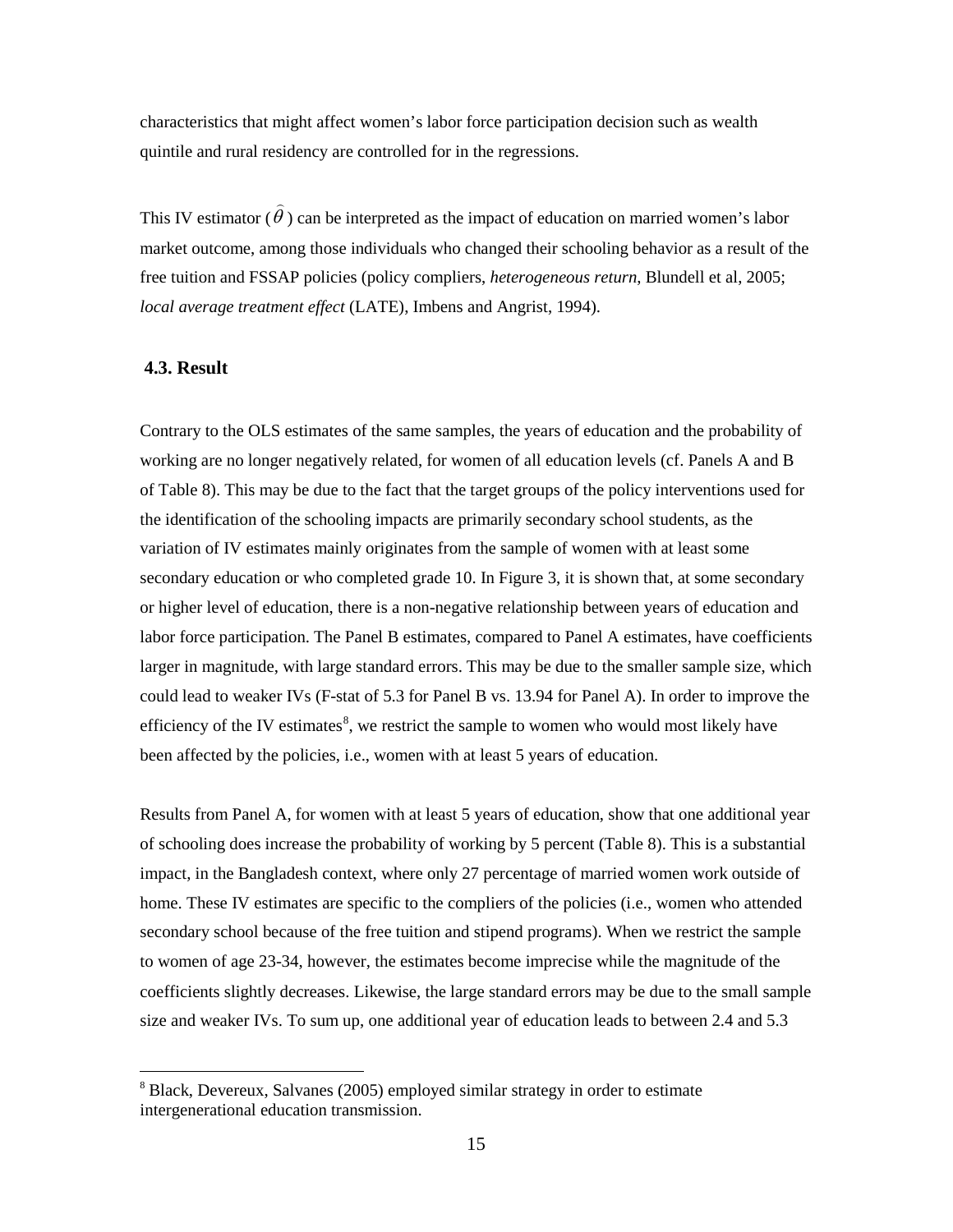characteristics that might affect women's labor force participation decision such as wealth quintile and rural residency are controlled for in the regressions.

This IV estimator ( $\hat{\theta}$ ) can be interpreted as the impact of education on married women's labor market outcome, among those individuals who changed their schooling behavior as a result of the free tuition and FSSAP policies (policy compliers, *heterogeneous return*, Blundell et al, 2005; *local average treatment effect* (LATE), Imbens and Angrist, 1994).

#### **4.3. Result**

Contrary to the OLS estimates of the same samples, the years of education and the probability of working are no longer negatively related, for women of all education levels (cf. Panels A and B of Table 8). This may be due to the fact that the target groups of the policy interventions used for the identification of the schooling impacts are primarily secondary school students, as the variation of IV estimates mainly originates from the sample of women with at least some secondary education or who completed grade 10. In Figure 3, it is shown that, at some secondary or higher level of education, there is a non-negative relationship between years of education and labor force participation. The Panel B estimates, compared to Panel A estimates, have coefficients larger in magnitude, with large standard errors. This may be due to the smaller sample size, which could lead to weaker IVs (F-stat of 5.3 for Panel B vs. 13.94 for Panel A). In order to improve the efficiency of the IV estimates $\delta$ , we restrict the sample to women who would most likely have been affected by the policies, i.e., women with at least 5 years of education.

Results from Panel A, for women with at least 5 years of education, show that one additional year of schooling does increase the probability of working by 5 percent (Table 8). This is a substantial impact, in the Bangladesh context, where only 27 percentage of married women work outside of home. These IV estimates are specific to the compliers of the policies (i.e., women who attended secondary school because of the free tuition and stipend programs). When we restrict the sample to women of age 23-34, however, the estimates become imprecise while the magnitude of the coefficients slightly decreases. Likewise, the large standard errors may be due to the small sample size and weaker IVs. To sum up, one additional year of education leads to between 2.4 and 5.3

<span id="page-14-0"></span> <sup>8</sup> Black, Devereux, Salvanes (2005) employed similar strategy in order to estimate intergenerational education transmission.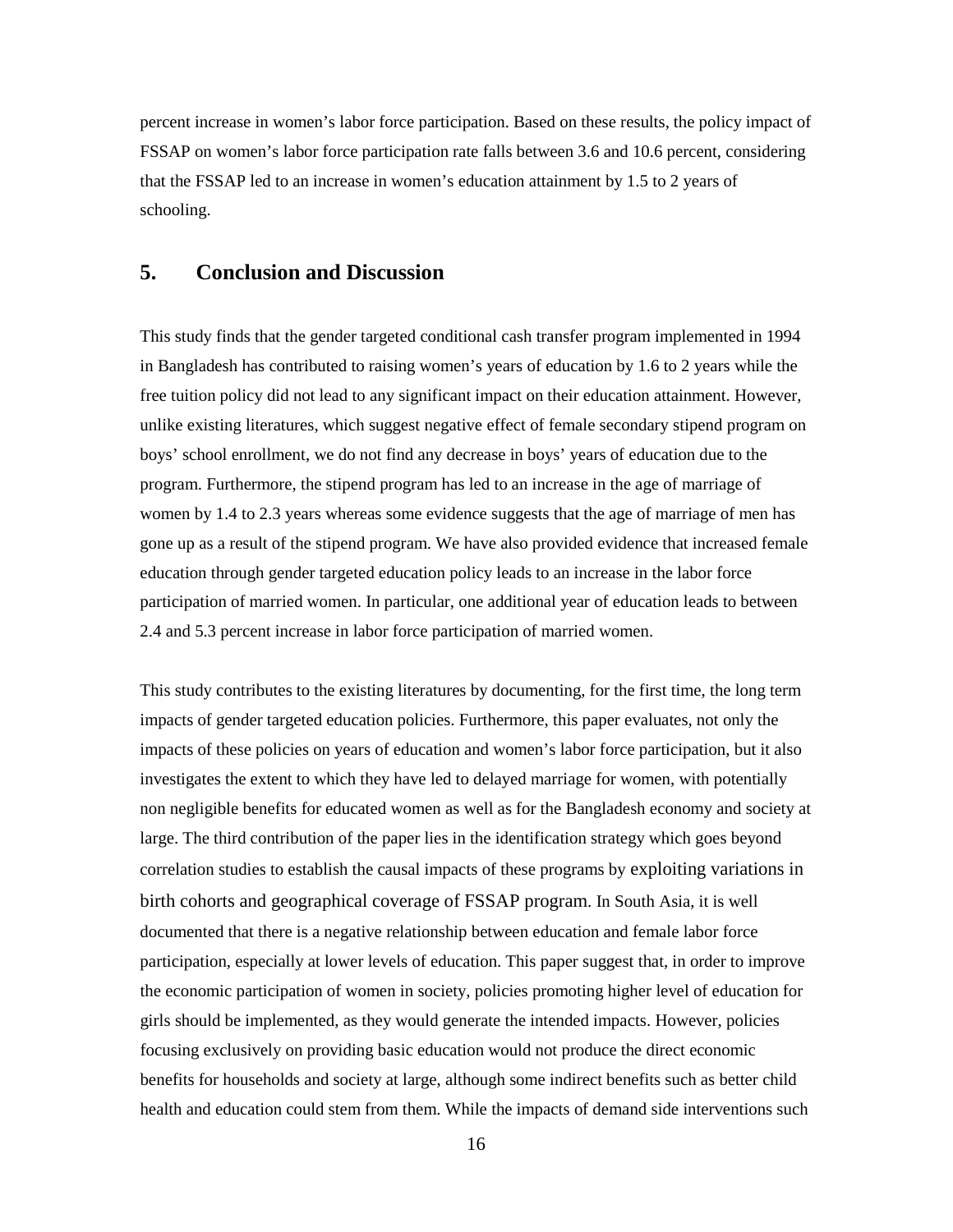percent increase in women's labor force participation. Based on these results, the policy impact of FSSAP on women's labor force participation rate falls between 3.6 and 10.6 percent, considering that the FSSAP led to an increase in women's education attainment by 1.5 to 2 years of schooling.

### **5. Conclusion and Discussion**

This study finds that the gender targeted conditional cash transfer program implemented in 1994 in Bangladesh has contributed to raising women's years of education by 1.6 to 2 years while the free tuition policy did not lead to any significant impact on their education attainment. However, unlike existing literatures, which suggest negative effect of female secondary stipend program on boys' school enrollment, we do not find any decrease in boys' years of education due to the program. Furthermore, the stipend program has led to an increase in the age of marriage of women by 1.4 to 2.3 years whereas some evidence suggests that the age of marriage of men has gone up as a result of the stipend program. We have also provided evidence that increased female education through gender targeted education policy leads to an increase in the labor force participation of married women. In particular, one additional year of education leads to between 2.4 and 5.3 percent increase in labor force participation of married women.

This study contributes to the existing literatures by documenting, for the first time, the long term impacts of gender targeted education policies. Furthermore, this paper evaluates, not only the impacts of these policies on years of education and women's labor force participation, but it also investigates the extent to which they have led to delayed marriage for women, with potentially non negligible benefits for educated women as well as for the Bangladesh economy and society at large. The third contribution of the paper lies in the identification strategy which goes beyond correlation studies to establish the causal impacts of these programs by exploiting variations in birth cohorts and geographical coverage of FSSAP program. In South Asia, it is well documented that there is a negative relationship between education and female labor force participation, especially at lower levels of education. This paper suggest that, in order to improve the economic participation of women in society, policies promoting higher level of education for girls should be implemented, as they would generate the intended impacts. However, policies focusing exclusively on providing basic education would not produce the direct economic benefits for households and society at large, although some indirect benefits such as better child health and education could stem from them. While the impacts of demand side interventions such

16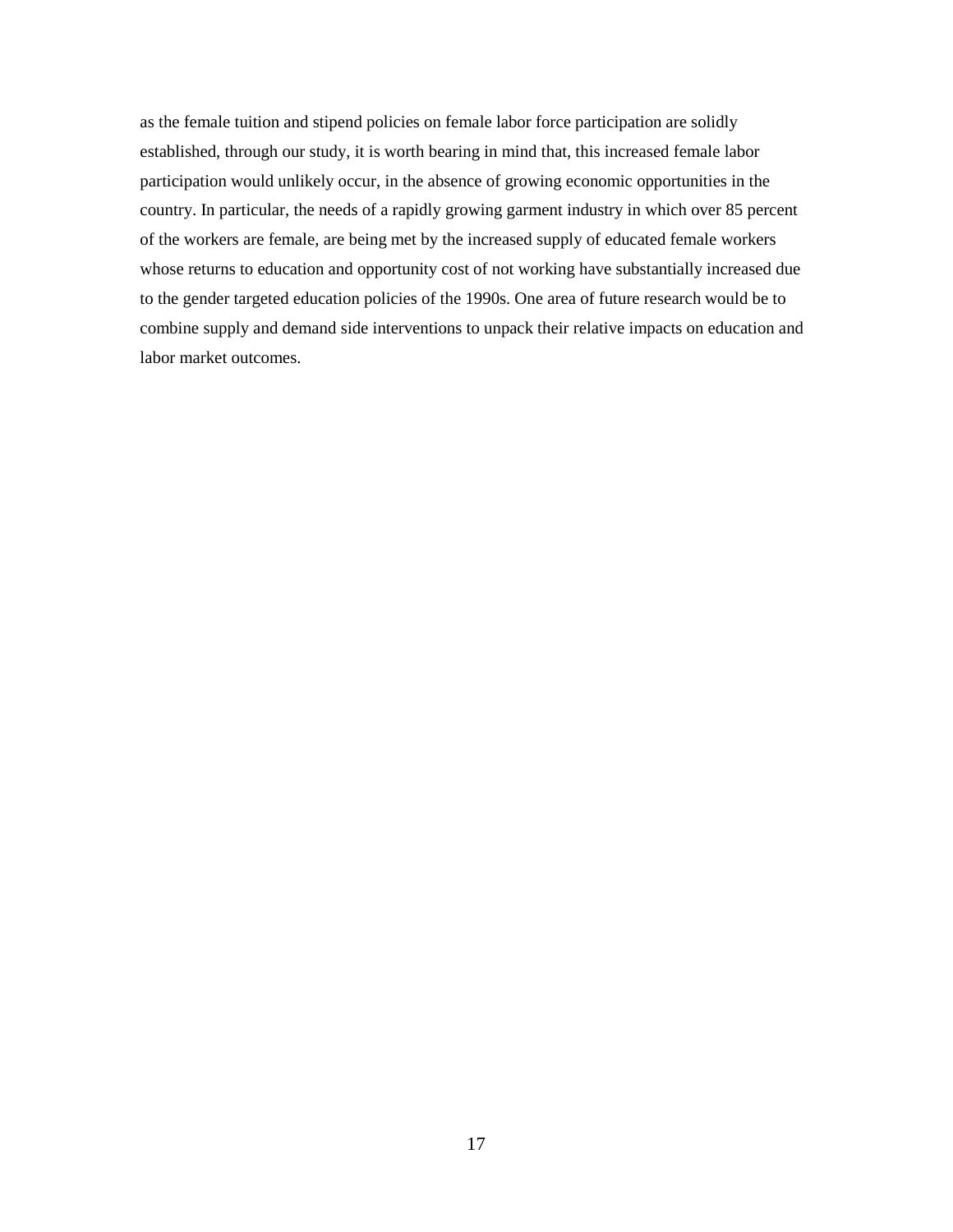as the female tuition and stipend policies on female labor force participation are solidly established, through our study, it is worth bearing in mind that, this increased female labor participation would unlikely occur, in the absence of growing economic opportunities in the country. In particular, the needs of a rapidly growing garment industry in which over 85 percent of the workers are female, are being met by the increased supply of educated female workers whose returns to education and opportunity cost of not working have substantially increased due to the gender targeted education policies of the 1990s. One area of future research would be to combine supply and demand side interventions to unpack their relative impacts on education and labor market outcomes.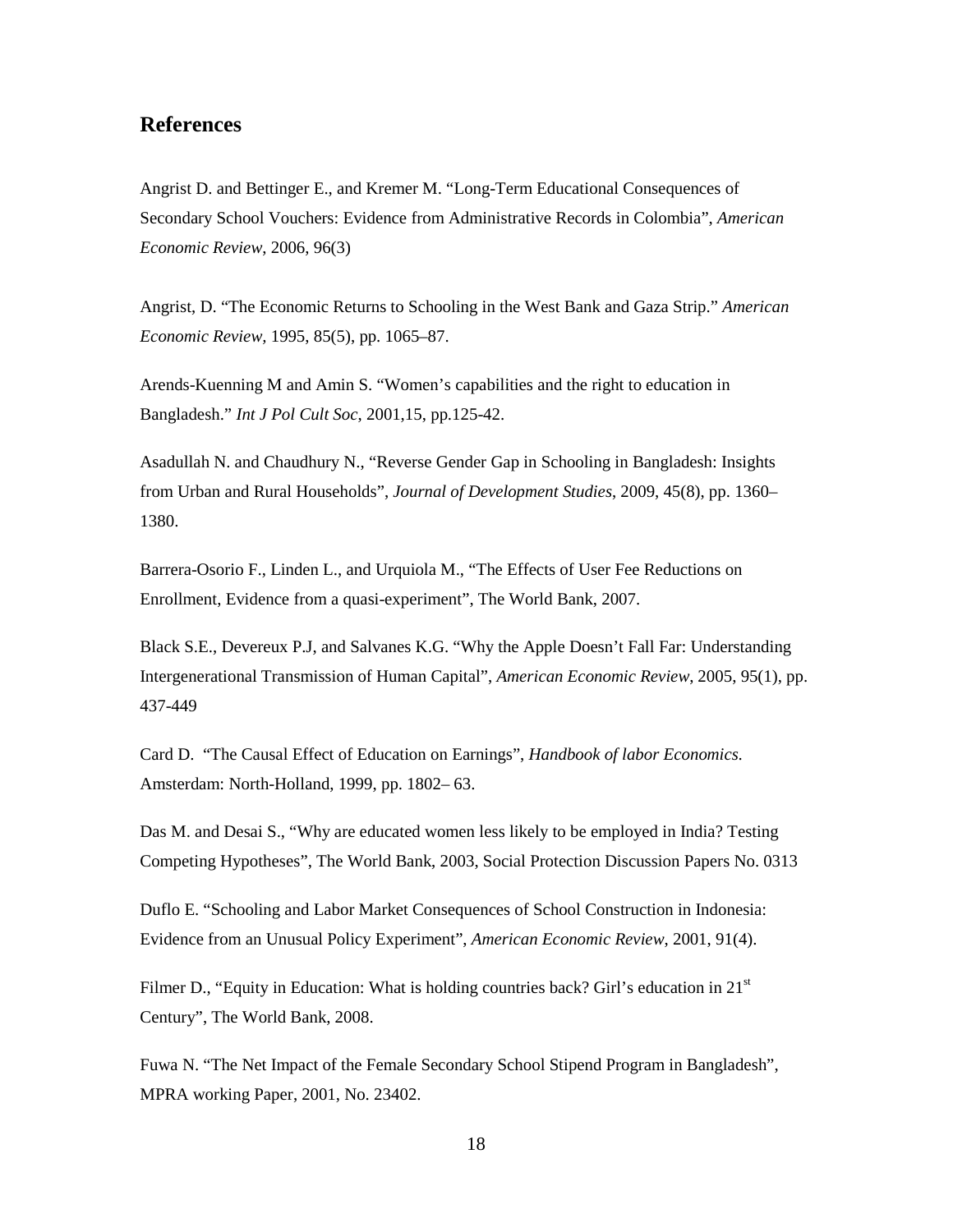### **References**

Angrist D. and Bettinger E., and Kremer M. "Long-Term Educational Consequences of Secondary School Vouchers: Evidence from Administrative Records in Colombia", *American Economic Review*, 2006, 96(3)

Angrist, D. "The Economic Returns to Schooling in the West Bank and Gaza Strip." *American Economic Review,* 1995, 85(5), pp. 1065–87.

Arends-Kuenning M and Amin S. "Women's capabilities and the right to education in Bangladesh." *Int J Pol Cult Soc*, 2001,15, pp.125-42.

Asadullah N. and Chaudhury N., ["Reverse Gender Gap in Schooling in Bangladesh: Insights](http://ideas.repec.org/a/taf/jdevst/v45y2009i8p1360-1380.html)  [from Urban and Rural Households",](http://ideas.repec.org/a/taf/jdevst/v45y2009i8p1360-1380.html) *Journal of Development Studies*, 2009, 45(8), pp. 1360– 1380.

Barrera-Osorio F., Linden L., and Urquiola M., "The Effects of User Fee Reductions on Enrollment, Evidence from a quasi-experiment", The World Bank, 2007.

Black S.E., Devereux P.J, and Salvanes K.G. "Why the Apple Doesn't Fall Far: Understanding Intergenerational Transmission of Human Capital", *American Economic Review*, 2005, 95(1), pp. 437-449

Card D. "The Causal Effect of Education on Earnings", *Handbook of labor Economics.*  Amsterdam: North-Holland, 1999, pp. 1802– 63.

Das M. and Desai S., "Why are educated women less likely to be employed in India? Testing Competing Hypotheses", The World Bank, 2003, Social Protection Discussion Papers No. 0313

Duflo E. "Schooling and Labor Market Consequences of School Construction in Indonesia: Evidence from an Unusual Policy Experiment", *American Economic Review*, 2001, 91(4).

Filmer D., "Equity in Education: What is holding countries back? Girl's education in  $21<sup>st</sup>$ Century", The World Bank, 2008.

Fuwa N. "The Net Impact of the Female Secondary School Stipend Program in Bangladesh", MPRA working Paper, 2001, No. 23402.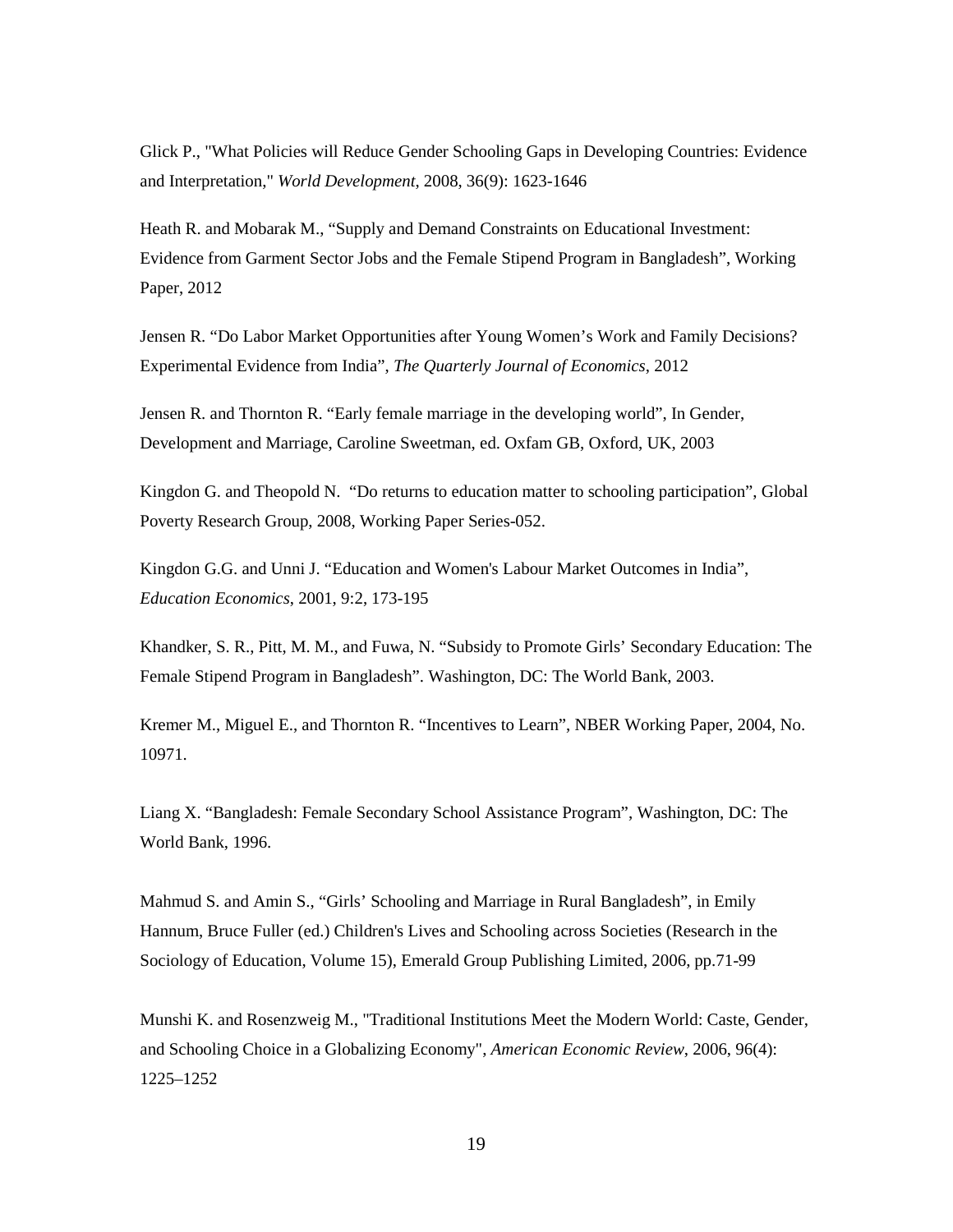Glick P., "What Policies will Reduce Gender Schooling Gaps in Developing Countries: Evidence and Interpretation," *World Development*, 2008, 36(9): 1623-1646

Heath R. and Mobarak M., "Supply and Demand Constraints on Educational Investment: Evidence from Garment Sector Jobs and the Female Stipend Program in Bangladesh", Working Paper, 2012

Jensen R. "Do Labor Market Opportunities after Young Women's Work and Family Decisions? Experimental Evidence from India", *The Quarterly Journal of Economics*, 2012

Jensen R. and Thornton R. "Early female marriage in the developing world", In Gender, Development and Marriage, Caroline Sweetman, ed. Oxfam GB, Oxford, UK, 2003

Kingdon G. and Theopold N. "Do returns to education matter to schooling participation", Global Poverty Research Group, 2008, Working Paper Series-052.

Kingdon G.G. and Unni J. "Education and Women's Labour Market Outcomes in India", *Education Economics*, 2001, 9:2, 173-195

Khandker, S. R., Pitt, M. M., and Fuwa, N. "Subsidy to Promote Girls' Secondary Education: The Female Stipend Program in Bangladesh". Washington, DC: The World Bank, 2003.

Kremer M., Miguel E., and Thornton R. "Incentives to Learn", NBER Working Paper, 2004, No. 10971.

Liang X. "Bangladesh: Female Secondary School Assistance Program", Washington, DC: The World Bank, 1996.

Mahmud S. and Amin S., "Girls' Schooling and Marriage in Rural Bangladesh", in Emily Hannum, Bruce Fuller (ed.) Children's Lives and Schooling across Societies (Research in the Sociology of Education, Volume 15), Emerald Group Publishing Limited, 2006, pp.71-99

Munshi K. and Rosenzweig M., "Traditional Institutions Meet the Modern World: Caste, Gender, and Schooling Choice in a Globalizing Economy", *American Economic Review*, 2006, 96(4): 1225–1252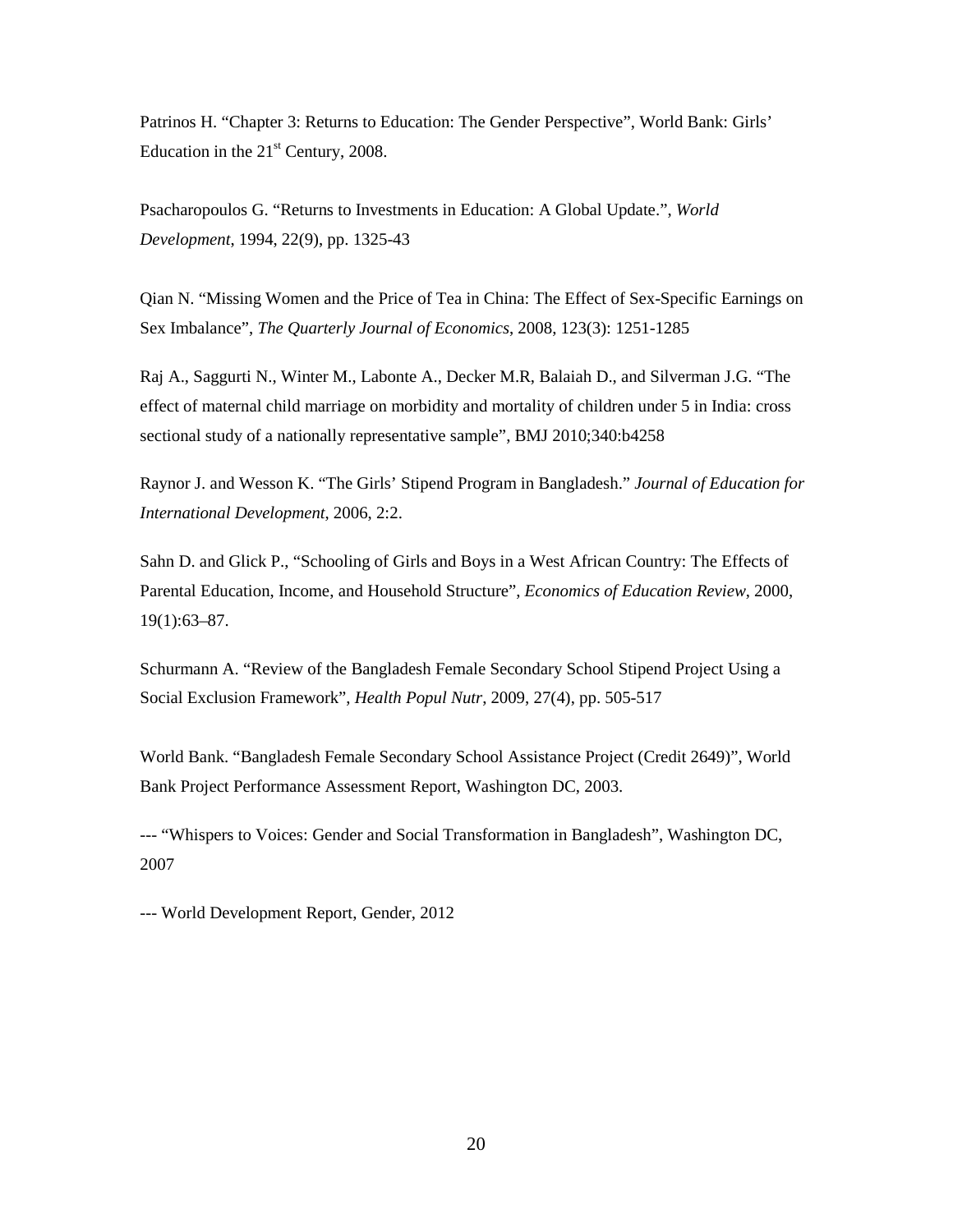Patrinos H. "Chapter 3: Returns to Education: The Gender Perspective", World Bank: Girls' Education in the  $21<sup>st</sup>$  Century, 2008.

Psacharopoulos G. "Returns to Investments in Education: A Global Update.", *World Development*, 1994, 22(9), pp. 1325-43

Qian N. "Missing Women and the Price of Tea in China: The Effect of Sex-Specific Earnings on Sex Imbalance", *The Quarterly Journal of Economics*, 2008, 123(3): 1251-1285

Raj A., Saggurti N., Winter M., Labonte A., Decker M.R, Balaiah D., and Silverman J.G. "The effect of maternal child marriage on morbidity and mortality of children under 5 in India: cross sectional study of a nationally representative sample", BMJ 2010;340:b4258

Raynor J. and Wesson K. "The Girls' Stipend Program in Bangladesh." *Journal of Education for International Development*, 2006, 2:2.

Sahn D. and Glick P., "Schooling of Girls and Boys in a West African Country: The Effects of Parental Education, Income, and Household Structure", *Economics of Education Review*, 2000, 19(1):63–87.

Schurmann A. "Review of the Bangladesh Female Secondary School Stipend Project Using a Social Exclusion Framework", *Health Popul Nutr*, 2009, 27(4), pp. 505-517

World Bank. "Bangladesh Female Secondary School Assistance Project (Credit 2649)", World Bank Project Performance Assessment Report, Washington DC, 2003.

--- "Whispers to Voices: Gender and Social Transformation in Bangladesh", Washington DC, 2007

--- World Development Report, Gender, 2012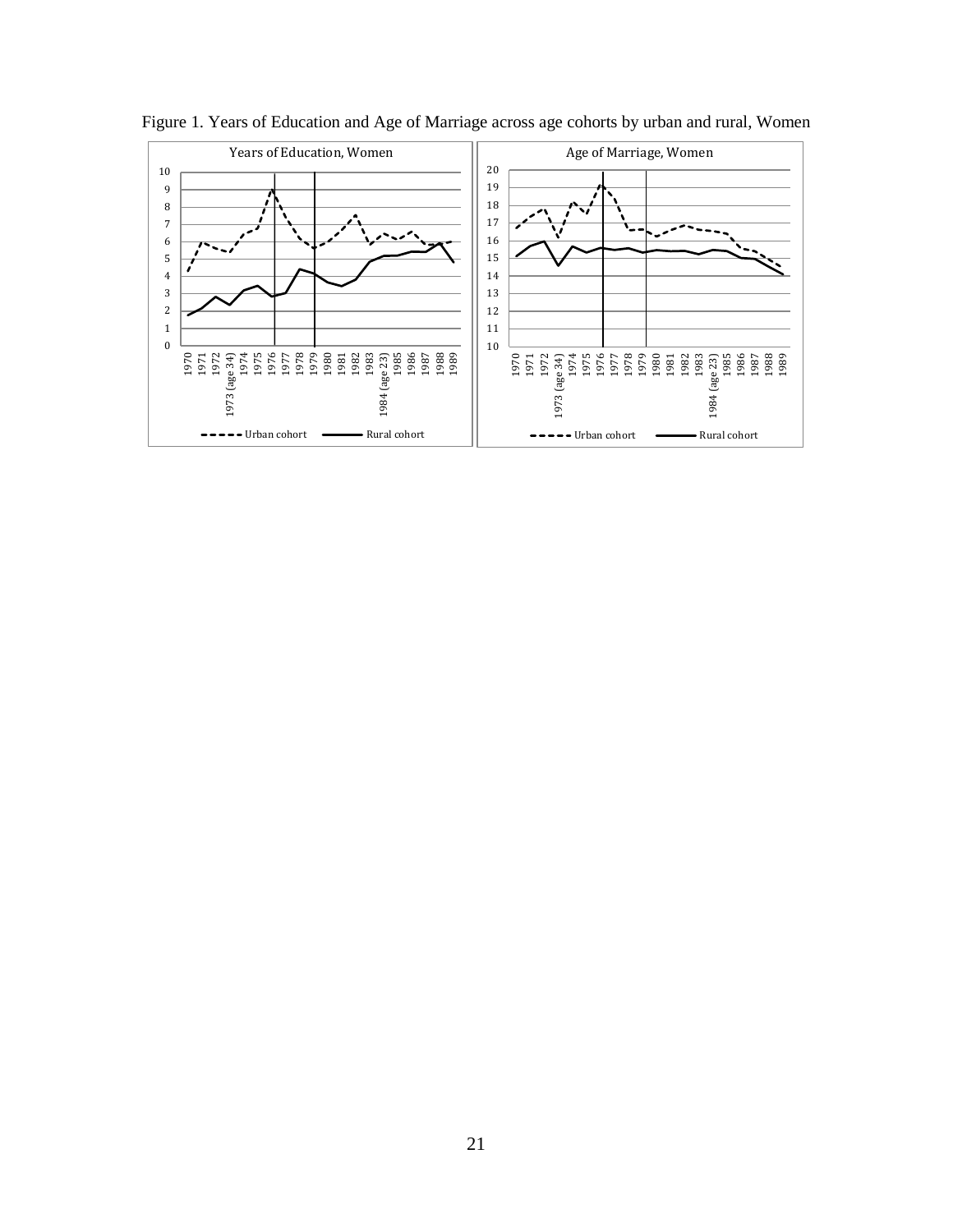

Figure 1. Years of Education and Age of Marriage across age cohorts by urban and rural, Women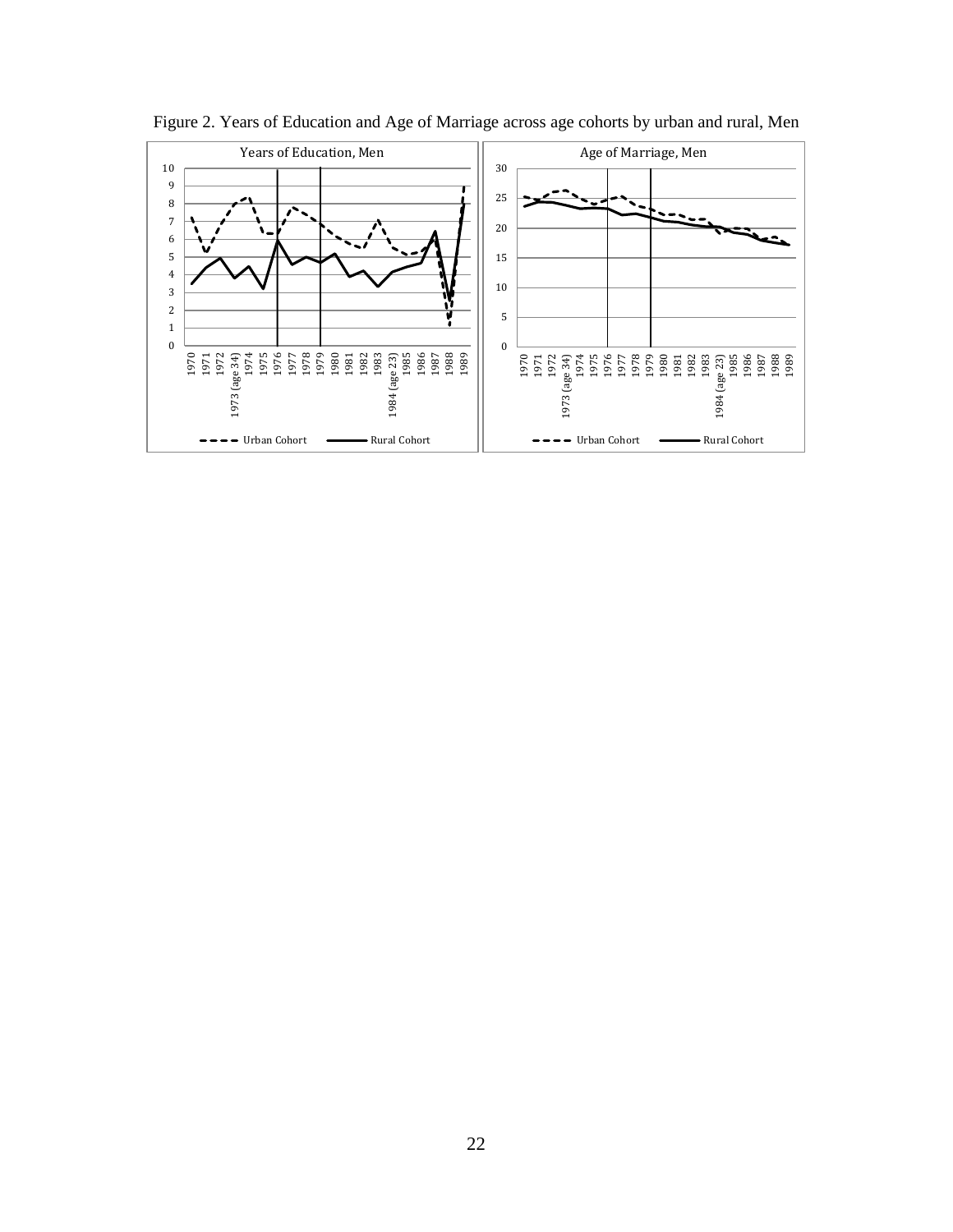

Figure 2. Years of Education and Age of Marriage across age cohorts by urban and rural, Men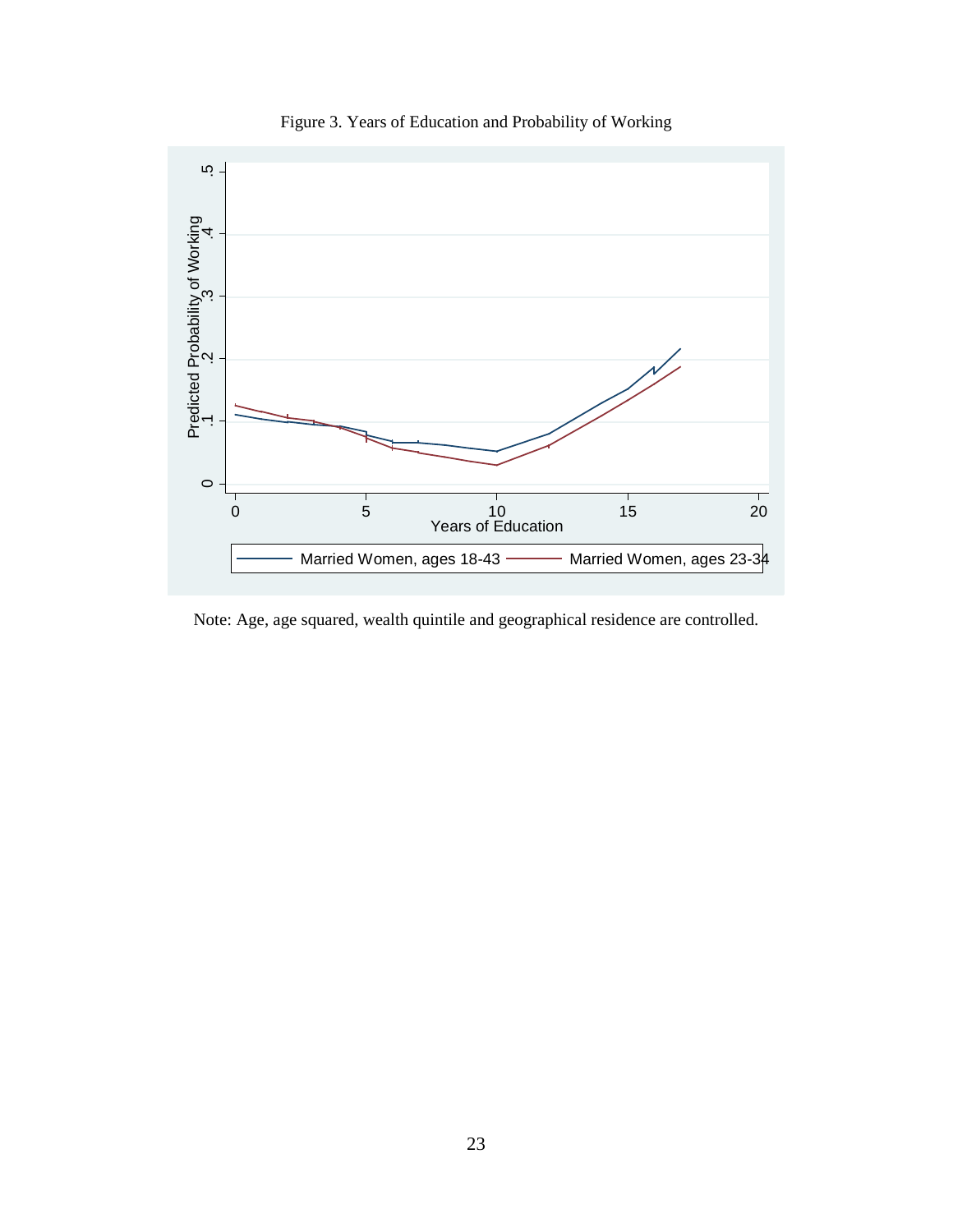

Figure 3. Years of Education and Probability of Working

Note: Age, age squared, wealth quintile and geographical residence are controlled.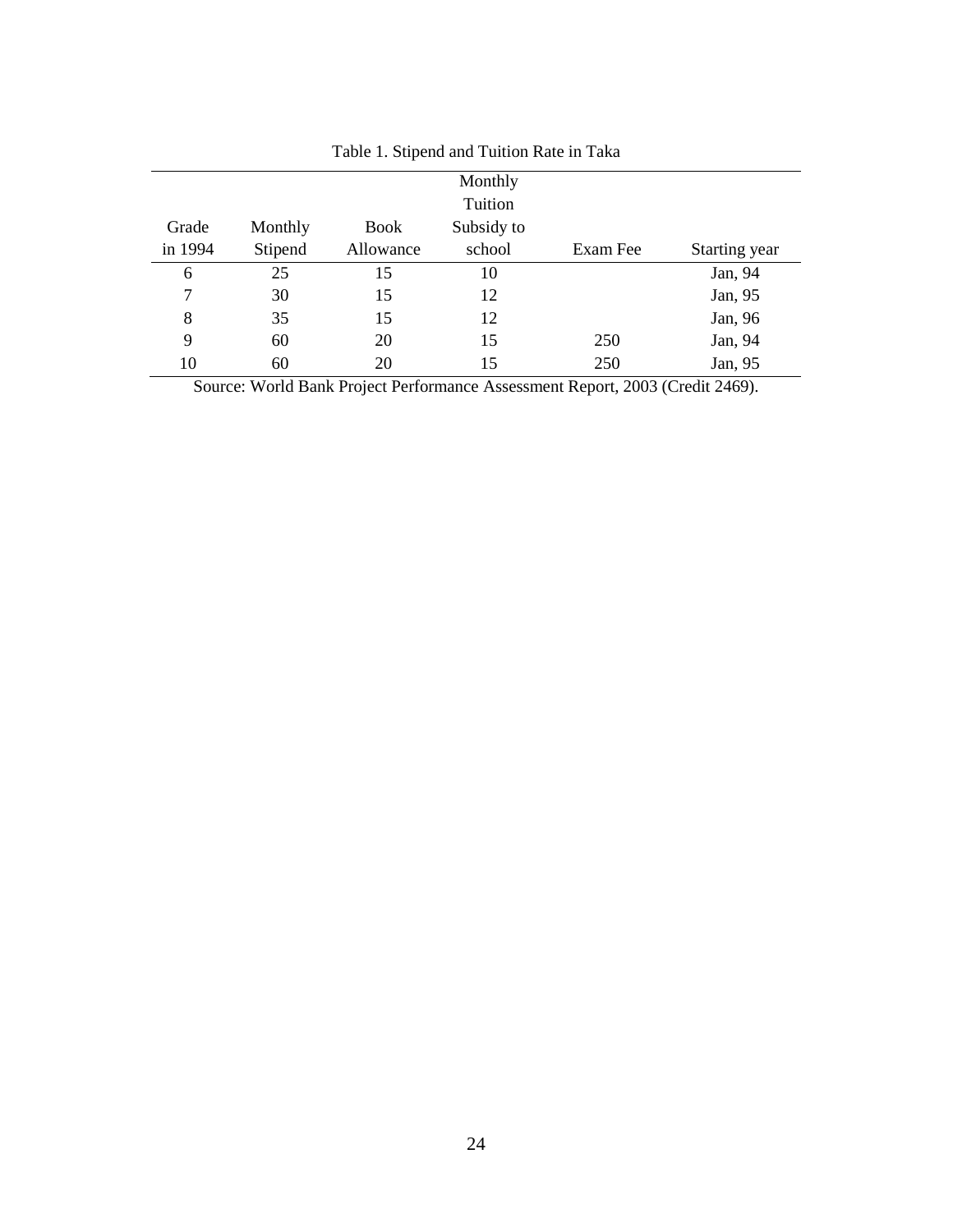|         |         |             | Monthly    |          |               |
|---------|---------|-------------|------------|----------|---------------|
|         |         |             | Tuition    |          |               |
| Grade   | Monthly | <b>Book</b> | Subsidy to |          |               |
| in 1994 | Stipend | Allowance   | school     | Exam Fee | Starting year |
| 6       | 25      | 15          | 10         |          | Jan, 94       |
| 7       | 30      | 15          | 12         |          | Jan, 95       |
| 8       | 35      | 15          | 12         |          | Jan, 96       |
| 9       | 60      | 20          | 15         | 250      | Jan, 94       |
| 10      | 60      | 20          | 15         | 250      | Jan, 95       |

Table 1. Stipend and Tuition Rate in Taka

Source: World Bank Project Performance Assessment Report, 2003 (Credit 2469).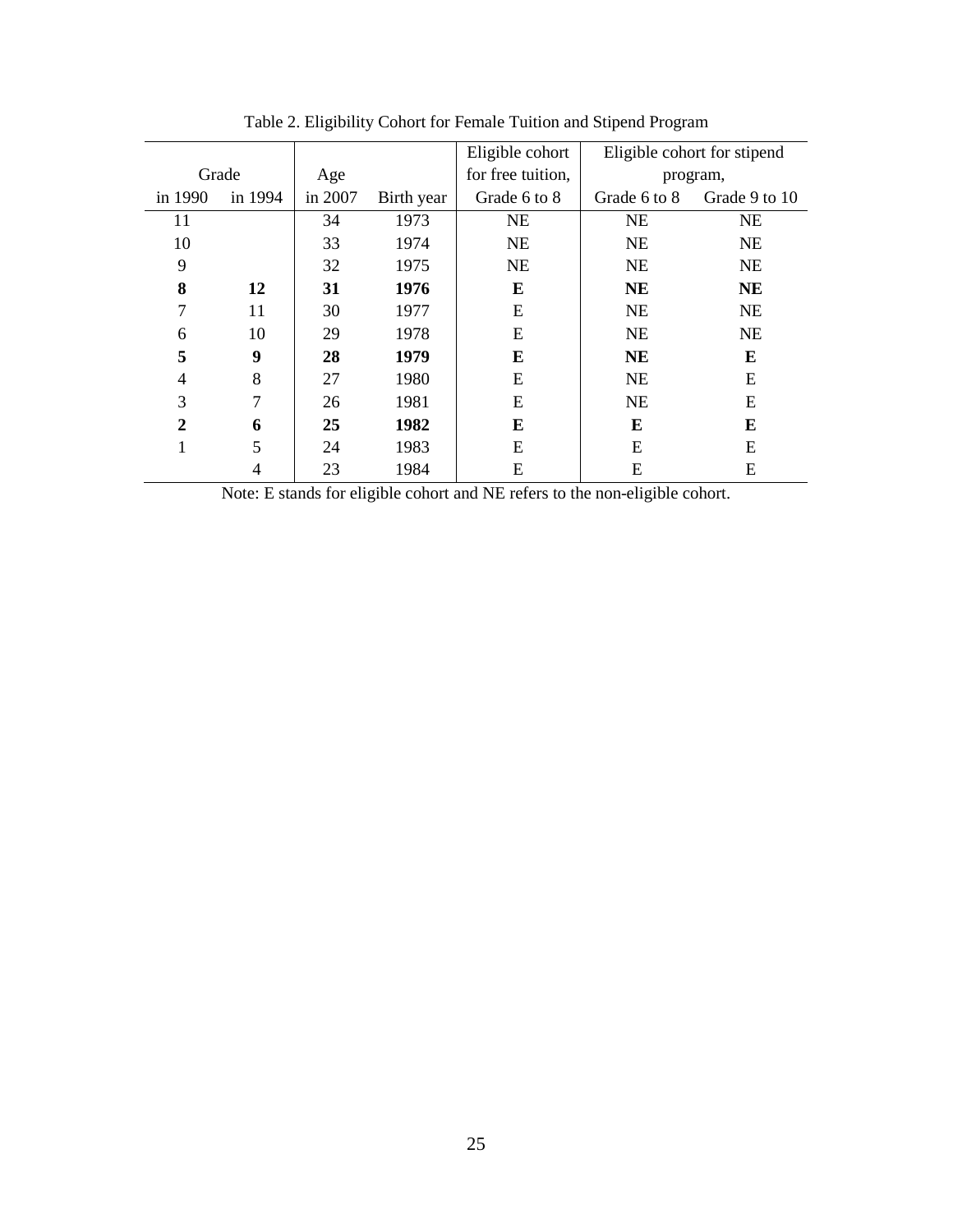|                |         |         |            | Eligible cohort   |              | Eligible cohort for stipend |
|----------------|---------|---------|------------|-------------------|--------------|-----------------------------|
|                | Grade   | Age     |            | for free tuition, |              | program,                    |
| in 1990        | in 1994 | in 2007 | Birth year | Grade 6 to 8      | Grade 6 to 8 | Grade 9 to 10               |
| 11             |         | 34      | 1973       | <b>NE</b>         | <b>NE</b>    | <b>NE</b>                   |
| 10             |         | 33      | 1974       | <b>NE</b>         | <b>NE</b>    | <b>NE</b>                   |
| 9              |         | 32      | 1975       | <b>NE</b>         | <b>NE</b>    | <b>NE</b>                   |
| 8              | 12      | 31      | 1976       | E                 | <b>NE</b>    | <b>NE</b>                   |
| 7              | 11      | 30      | 1977       | E                 | <b>NE</b>    | <b>NE</b>                   |
| 6              | 10      | 29      | 1978       | E                 | <b>NE</b>    | <b>NE</b>                   |
| 5              | 9       | 28      | 1979       | E                 | <b>NE</b>    | E                           |
| 4              | 8       | 27      | 1980       | Ε                 | <b>NE</b>    | E                           |
| 3              | 7       | 26      | 1981       | E                 | <b>NE</b>    | E                           |
| $\overline{2}$ | 6       | 25      | 1982       | E                 | E            | E                           |
| 1              | 5       | 24      | 1983       | E                 | E            | E                           |
|                | 4       | 23      | 1984       | E                 | E            | E                           |

Table 2. Eligibility Cohort for Female Tuition and Stipend Program

Note: E stands for eligible cohort and NE refers to the non-eligible cohort.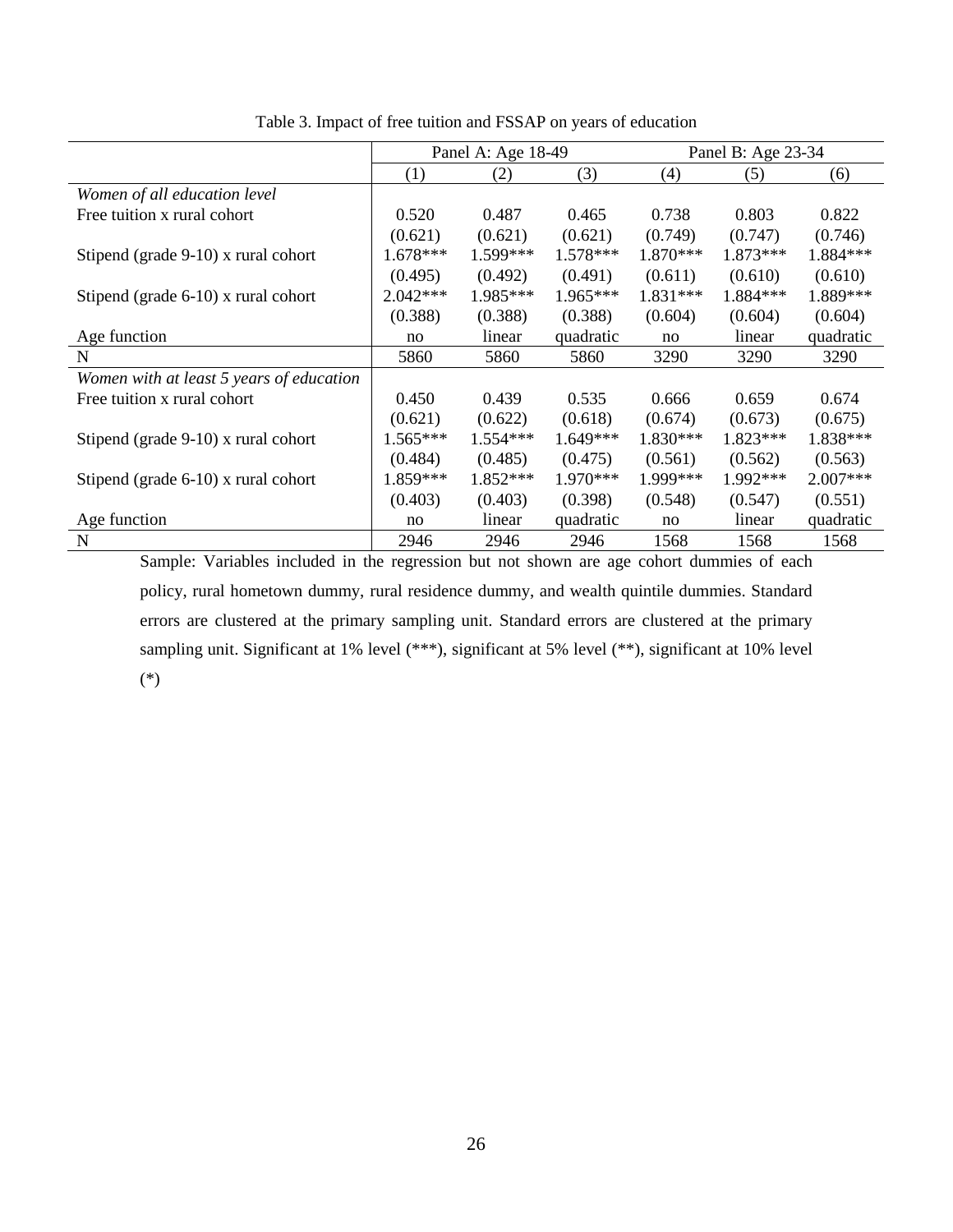|                                          |            | Panel A: Age 18-49 |            | Panel B: Age 23-34 |          |            |
|------------------------------------------|------------|--------------------|------------|--------------------|----------|------------|
|                                          | (1)        | (2)                | (3)        | (4)                | (5)      | (6)        |
| Women of all education level             |            |                    |            |                    |          |            |
| Free tuition x rural cohort              | 0.520      | 0.487              | 0.465      | 0.738              | 0.803    | 0.822      |
|                                          | (0.621)    | (0.621)            | (0.621)    | (0.749)            | (0.747)  | (0.746)    |
| Stipend (grade $9-10$ ) x rural cohort   | $1.678***$ | $1.599***$         | $1.578***$ | 1.870***           | 1.873*** | 1.884***   |
|                                          | (0.495)    | (0.492)            | (0.491)    | (0.611)            | (0.610)  | (0.610)    |
| Stipend (grade $6-10$ ) x rural cohort   | $2.042***$ | $1.985***$         | $1.965***$ | 1.831***           | 1.884*** | 1.889***   |
|                                          | (0.388)    | (0.388)            | (0.388)    | (0.604)            | (0.604)  | (0.604)    |
| Age function                             | no         | linear             | quadratic  | no                 | linear   | quadratic  |
| N                                        | 5860       | 5860               | 5860       | 3290               | 3290     | 3290       |
| Women with at least 5 years of education |            |                    |            |                    |          |            |
| Free tuition x rural cohort              | 0.450      | 0.439              | 0.535      | 0.666              | 0.659    | 0.674      |
|                                          | (0.621)    | (0.622)            | (0.618)    | (0.674)            | (0.673)  | (0.675)    |
| Stipend (grade $9-10$ ) x rural cohort   | $1.565***$ | $1.554***$         | $1.649***$ | 1.830***           | 1.823*** | 1.838***   |
|                                          | (0.484)    | (0.485)            | (0.475)    | (0.561)            | (0.562)  | (0.563)    |
| Stipend (grade $6-10$ ) x rural cohort   | 1.859***   | 1.852***           | 1.970***   | 1.999***           | 1.992*** | $2.007***$ |
|                                          | (0.403)    | (0.403)            | (0.398)    | (0.548)            | (0.547)  | (0.551)    |
| Age function                             | no         | linear             | quadratic  | no                 | linear   | quadratic  |
| N                                        | 2946       | 2946               | 2946       | 1568               | 1568     | 1568       |

Table 3. Impact of free tuition and FSSAP on years of education

Sample: Variables included in the regression but not shown are age cohort dummies of each policy, rural hometown dummy, rural residence dummy, and wealth quintile dummies. Standard errors are clustered at the primary sampling unit. Standard errors are clustered at the primary sampling unit. Significant at 1% level (\*\*\*), significant at 5% level (\*\*), significant at 10% level (\*)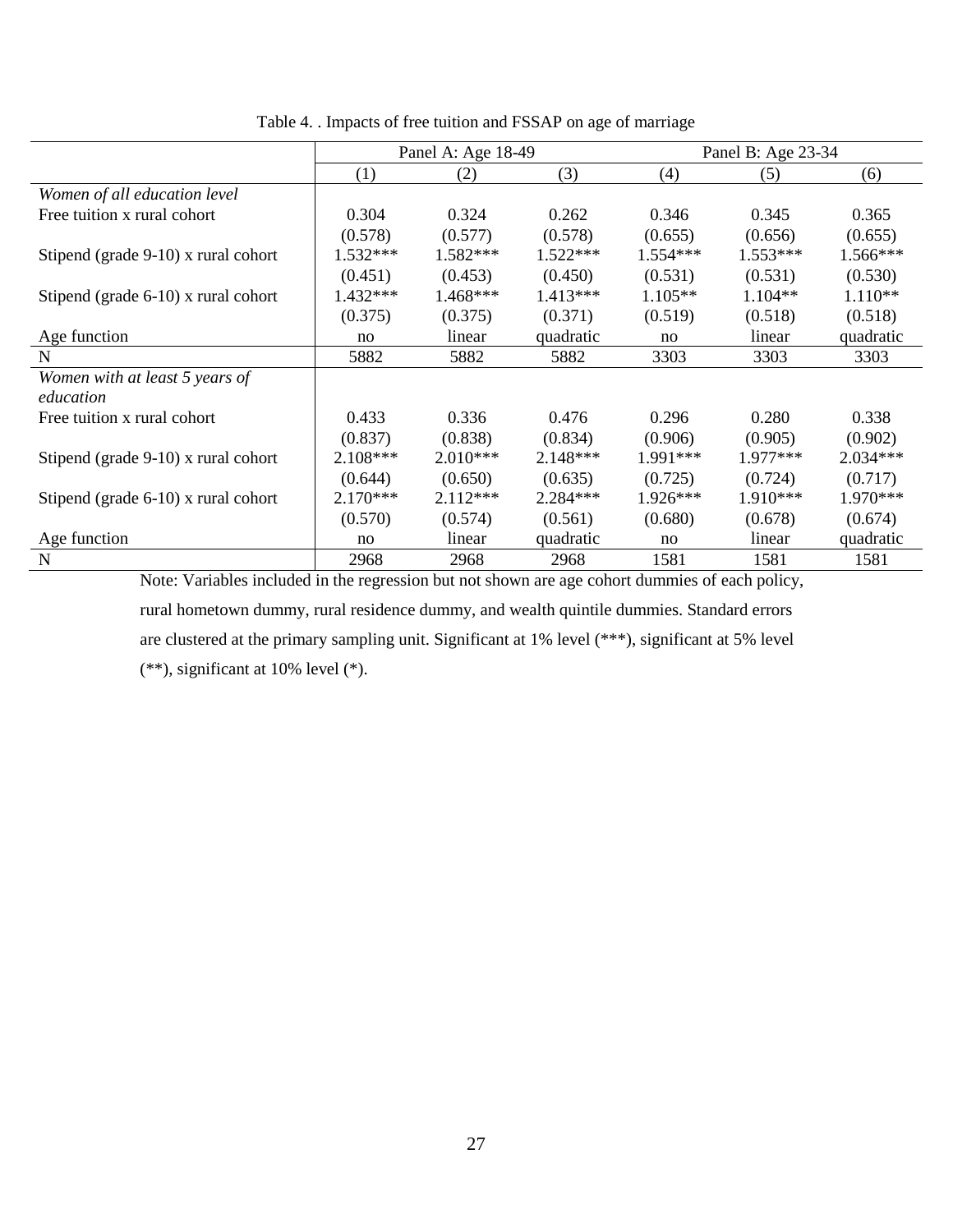|                                        |            | Panel A: Age 18-49 |            | Panel B: Age 23-34 |            |            |  |
|----------------------------------------|------------|--------------------|------------|--------------------|------------|------------|--|
|                                        | (1)        | (2)                | (3)        | (4)                | (5)        | (6)        |  |
| Women of all education level           |            |                    |            |                    |            |            |  |
| Free tuition x rural cohort            | 0.304      | 0.324              | 0.262      | 0.346              | 0.345      | 0.365      |  |
|                                        | (0.578)    | (0.577)            | (0.578)    | (0.655)            | (0.656)    | (0.655)    |  |
| Stipend (grade 9-10) x rural cohort    | $1.532***$ | $1.582***$         | $1.522***$ | $1.554***$         | $1.553***$ | $1.566***$ |  |
|                                        | (0.451)    | (0.453)            | (0.450)    | (0.531)            | (0.531)    | (0.530)    |  |
| Stipend (grade $6-10$ ) x rural cohort | $1.432***$ | $1.468***$         | $1.413***$ | $1.105**$          | $1.104**$  | $1.110**$  |  |
|                                        | (0.375)    | (0.375)            | (0.371)    | (0.519)            | (0.518)    | (0.518)    |  |
| Age function                           | no         | linear             | quadratic  | no                 | linear     | quadratic  |  |
| N                                      | 5882       | 5882               | 5882       | 3303               | 3303       | 3303       |  |
| Women with at least 5 years of         |            |                    |            |                    |            |            |  |
| education                              |            |                    |            |                    |            |            |  |
| Free tuition x rural cohort            | 0.433      | 0.336              | 0.476      | 0.296              | 0.280      | 0.338      |  |
|                                        | (0.837)    | (0.838)            | (0.834)    | (0.906)            | (0.905)    | (0.902)    |  |
| Stipend (grade 9-10) x rural cohort    | 2.108***   | $2.010***$         | 2.148***   | $1.991***$         | $1.977***$ | $2.034***$ |  |
|                                        | (0.644)    | (0.650)            | (0.635)    | (0.725)            | (0.724)    | (0.717)    |  |
| Stipend (grade $6-10$ ) x rural cohort | $2.170***$ | $2.112***$         | $2.284***$ | $1.926***$         | $1.910***$ | $1.970***$ |  |
|                                        | (0.570)    | (0.574)            | (0.561)    | (0.680)            | (0.678)    | (0.674)    |  |
| Age function                           | no         | linear             | quadratic  | no                 | linear     | quadratic  |  |
| N                                      | 2968       | 2968               | 2968       | 1581               | 1581       | 1581       |  |

Table 4. . Impacts of free tuition and FSSAP on age of marriage

Note: Variables included in the regression but not shown are age cohort dummies of each policy, rural hometown dummy, rural residence dummy, and wealth quintile dummies. Standard errors are clustered at the primary sampling unit. Significant at 1% level (\*\*\*), significant at 5% level (\*\*), significant at 10% level (\*).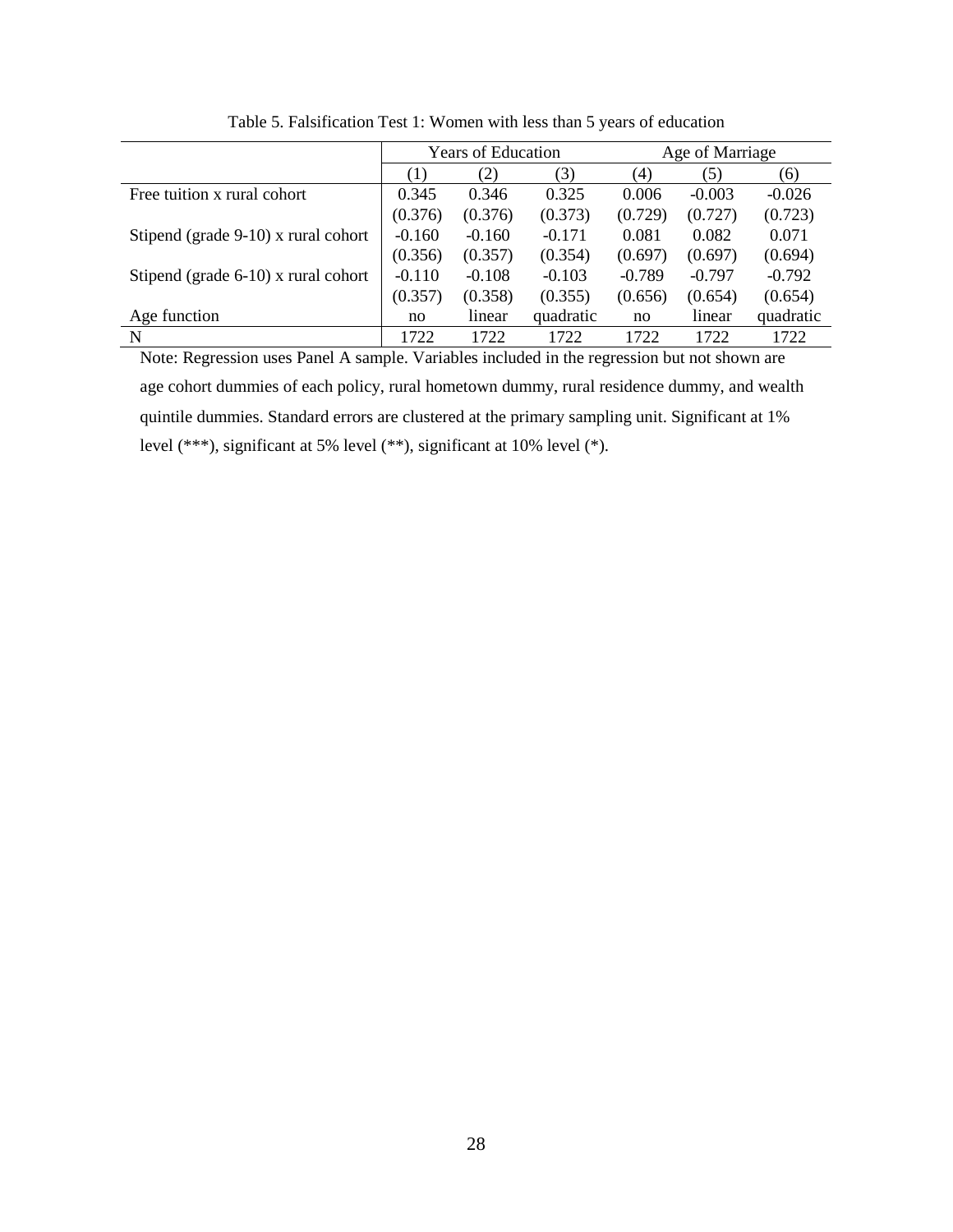| <b>Years of Education</b> |          | Age of Marriage |          |          |           |
|---------------------------|----------|-----------------|----------|----------|-----------|
| (1)                       | (2)      | (3)             | (4)      | (5)      | (6)       |
| 0.345                     | 0.346    | 0.325           | 0.006    | $-0.003$ | $-0.026$  |
| (0.376)                   | (0.376)  | (0.373)         | (0.729)  | (0.727)  | (0.723)   |
| $-0.160$                  | $-0.160$ | $-0.171$        | 0.081    | 0.082    | 0.071     |
| (0.356)                   | (0.357)  | (0.354)         | (0.697)  | (0.697)  | (0.694)   |
| $-0.110$                  | $-0.108$ | $-0.103$        | $-0.789$ | $-0.797$ | $-0.792$  |
| (0.357)                   | (0.358)  | (0.355)         | (0.656)  | (0.654)  | (0.654)   |
| no                        | linear   | quadratic       | no       | linear   | quadratic |
| 1722                      | 1722     | 1722            | 1722     | 1722     | 1722      |
|                           |          |                 |          |          |           |

Table 5. Falsification Test 1: Women with less than 5 years of education

Note: Regression uses Panel A sample. Variables included in the regression but not shown are age cohort dummies of each policy, rural hometown dummy, rural residence dummy, and wealth quintile dummies. Standard errors are clustered at the primary sampling unit. Significant at 1% level (\*\*\*), significant at 5% level (\*\*), significant at 10% level (\*).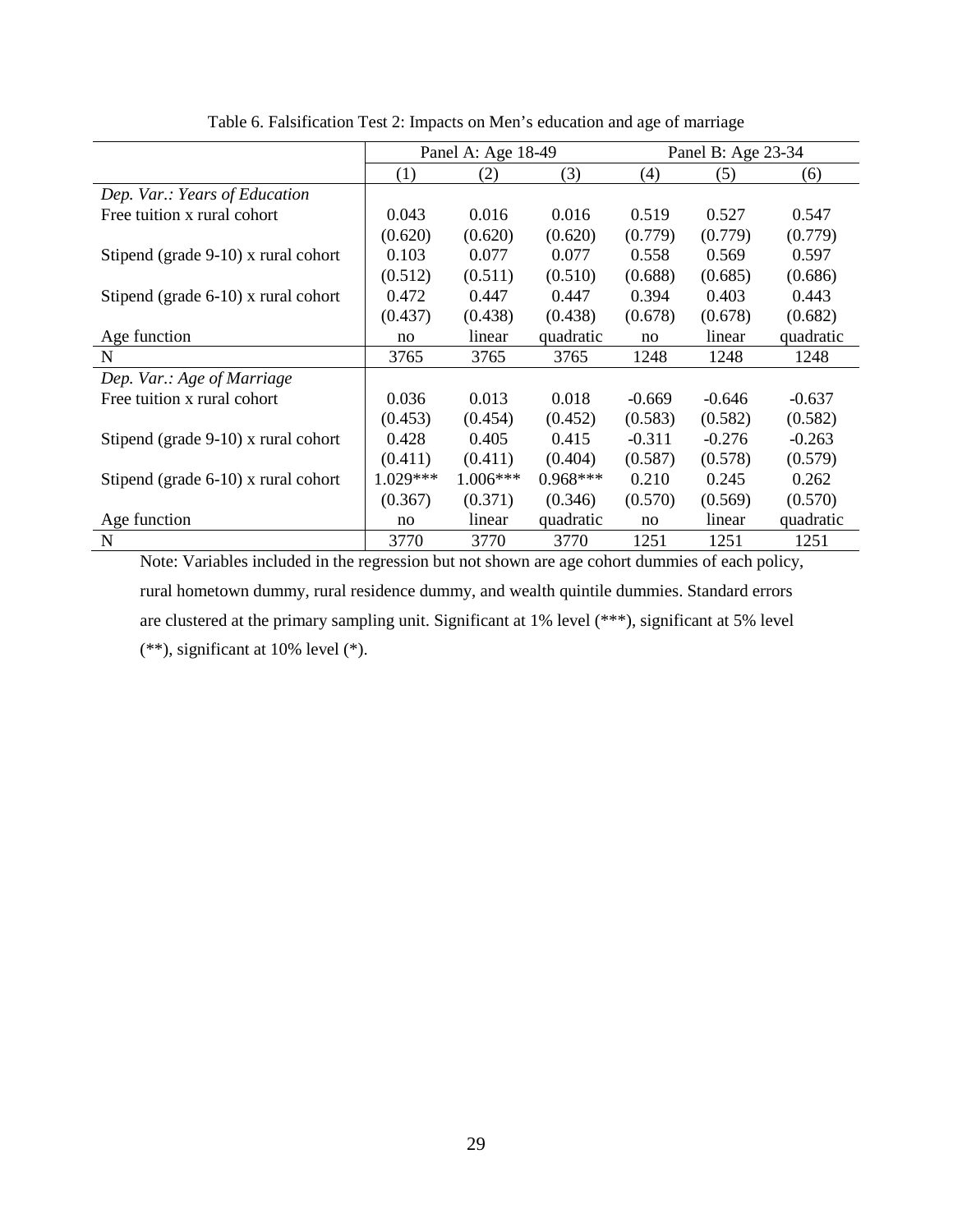|                                        |            | Panel A: Age 18-49 |            | Panel B: Age 23-34 |          |           |
|----------------------------------------|------------|--------------------|------------|--------------------|----------|-----------|
|                                        | (1)        | (2)                | (3)        | (4)                | (5)      | (6)       |
| Dep. Var.: Years of Education          |            |                    |            |                    |          |           |
| Free tuition x rural cohort            | 0.043      | 0.016              | 0.016      | 0.519              | 0.527    | 0.547     |
|                                        | (0.620)    | (0.620)            | (0.620)    | (0.779)            | (0.779)  | (0.779)   |
| Stipend (grade $9-10$ ) x rural cohort | 0.103      | 0.077              | 0.077      | 0.558              | 0.569    | 0.597     |
|                                        | (0.512)    | (0.511)            | (0.510)    | (0.688)            | (0.685)  | (0.686)   |
| Stipend (grade $6-10$ ) x rural cohort | 0.472      | 0.447              | 0.447      | 0.394              | 0.403    | 0.443     |
|                                        | (0.437)    | (0.438)            | (0.438)    | (0.678)            | (0.678)  | (0.682)   |
| Age function                           | no         | linear             | quadratic  | no                 | linear   | quadratic |
| N                                      | 3765       | 3765               | 3765       | 1248               | 1248     | 1248      |
| Dep. Var.: Age of Marriage             |            |                    |            |                    |          |           |
| Free tuition x rural cohort            | 0.036      | 0.013              | 0.018      | $-0.669$           | $-0.646$ | $-0.637$  |
|                                        | (0.453)    | (0.454)            | (0.452)    | (0.583)            | (0.582)  | (0.582)   |
| Stipend (grade $9-10$ ) x rural cohort | 0.428      | 0.405              | 0.415      | $-0.311$           | $-0.276$ | $-0.263$  |
|                                        | (0.411)    | (0.411)            | (0.404)    | (0.587)            | (0.578)  | (0.579)   |
| Stipend (grade $6-10$ ) x rural cohort | $1.029***$ | $1.006***$         | $0.968***$ | 0.210              | 0.245    | 0.262     |
|                                        | (0.367)    | (0.371)            | (0.346)    | (0.570)            | (0.569)  | (0.570)   |
| Age function                           | no         | linear             | quadratic  | no                 | linear   | quadratic |
| N                                      | 3770       | 3770               | 3770       | 1251               | 1251     | 1251      |

Table 6. Falsification Test 2: Impacts on Men's education and age of marriage

Note: Variables included in the regression but not shown are age cohort dummies of each policy, rural hometown dummy, rural residence dummy, and wealth quintile dummies. Standard errors are clustered at the primary sampling unit. Significant at 1% level (\*\*\*), significant at 5% level (\*\*), significant at 10% level (\*).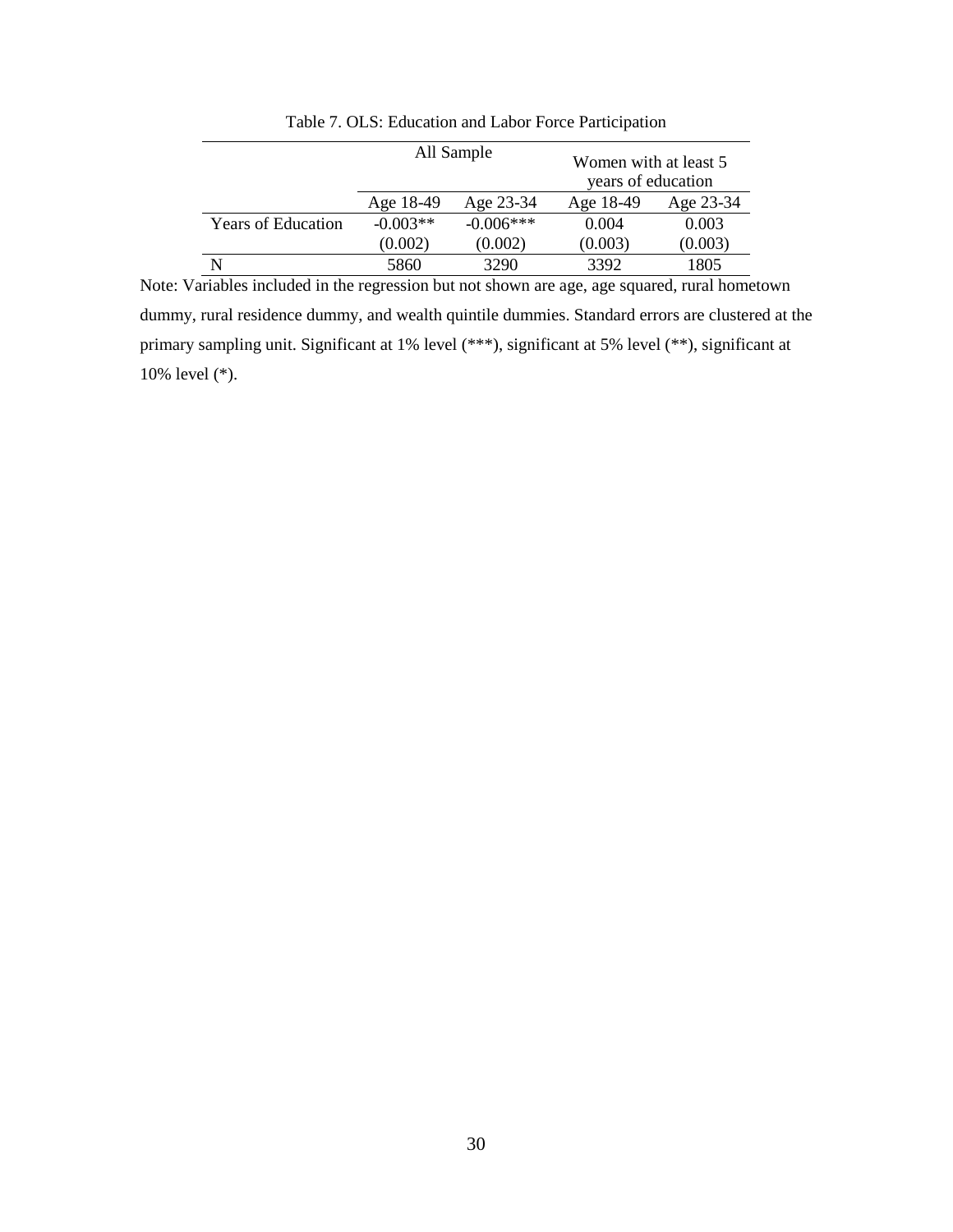|                           |            | All Sample  | Women with at least 5<br>years of education |           |
|---------------------------|------------|-------------|---------------------------------------------|-----------|
|                           | Age 18-49  | Age 23-34   | Age 18-49                                   | Age 23-34 |
| <b>Years of Education</b> | $-0.003**$ | $-0.006***$ | 0.004                                       | 0.003     |
|                           | (0.002)    | (0.002)     | (0.003)                                     | (0.003)   |
|                           | 5860       | 3290        | 3392                                        | 1805      |

Table 7. OLS: Education and Labor Force Participation

Note: Variables included in the regression but not shown are age, age squared, rural hometown dummy, rural residence dummy, and wealth quintile dummies. Standard errors are clustered at the primary sampling unit. Significant at 1% level (\*\*\*), significant at 5% level (\*\*), significant at 10% level (\*).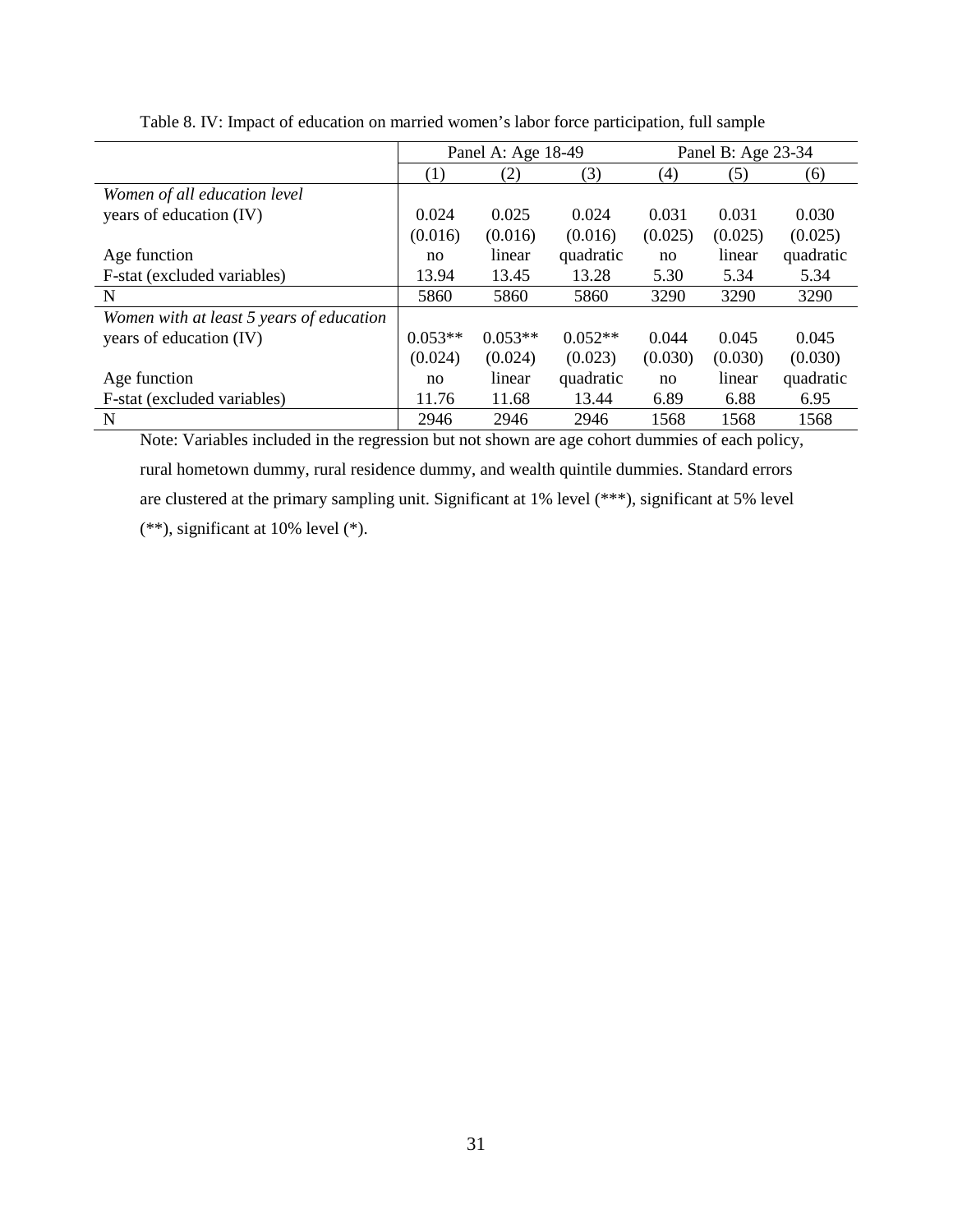|                                          |           | Panel A: Age 18-49 |           | Panel B: Age 23-34 |         |           |
|------------------------------------------|-----------|--------------------|-----------|--------------------|---------|-----------|
|                                          | (1)       | (2)                | (3)       | (4)                | (5)     | (6)       |
| Women of all education level             |           |                    |           |                    |         |           |
| years of education (IV)                  | 0.024     | 0.025              | 0.024     | 0.031              | 0.031   | 0.030     |
|                                          | (0.016)   | (0.016)            | (0.016)   | (0.025)            | (0.025) | (0.025)   |
| Age function                             | no        | linear             | quadratic | no                 | linear  | quadratic |
| F-stat (excluded variables)              | 13.94     | 13.45              | 13.28     | 5.30               | 5.34    | 5.34      |
| N                                        | 5860      | 5860               | 5860      | 3290               | 3290    | 3290      |
| Women with at least 5 years of education |           |                    |           |                    |         |           |
| years of education (IV)                  | $0.053**$ | $0.053**$          | $0.052**$ | 0.044              | 0.045   | 0.045     |
|                                          | (0.024)   | (0.024)            | (0.023)   | (0.030)            | (0.030) | (0.030)   |
| Age function                             | no        | linear             | quadratic | no                 | linear  | quadratic |
| F-stat (excluded variables)              | 11.76     | 11.68              | 13.44     | 6.89               | 6.88    | 6.95      |
| N                                        | 2946      | 2946               | 2946      | 1568               | 1568    | 1568      |

Table 8. IV: Impact of education on married women's labor force participation, full sample

Note: Variables included in the regression but not shown are age cohort dummies of each policy, rural hometown dummy, rural residence dummy, and wealth quintile dummies. Standard errors are clustered at the primary sampling unit. Significant at 1% level (\*\*\*), significant at 5% level (\*\*), significant at 10% level (\*).

31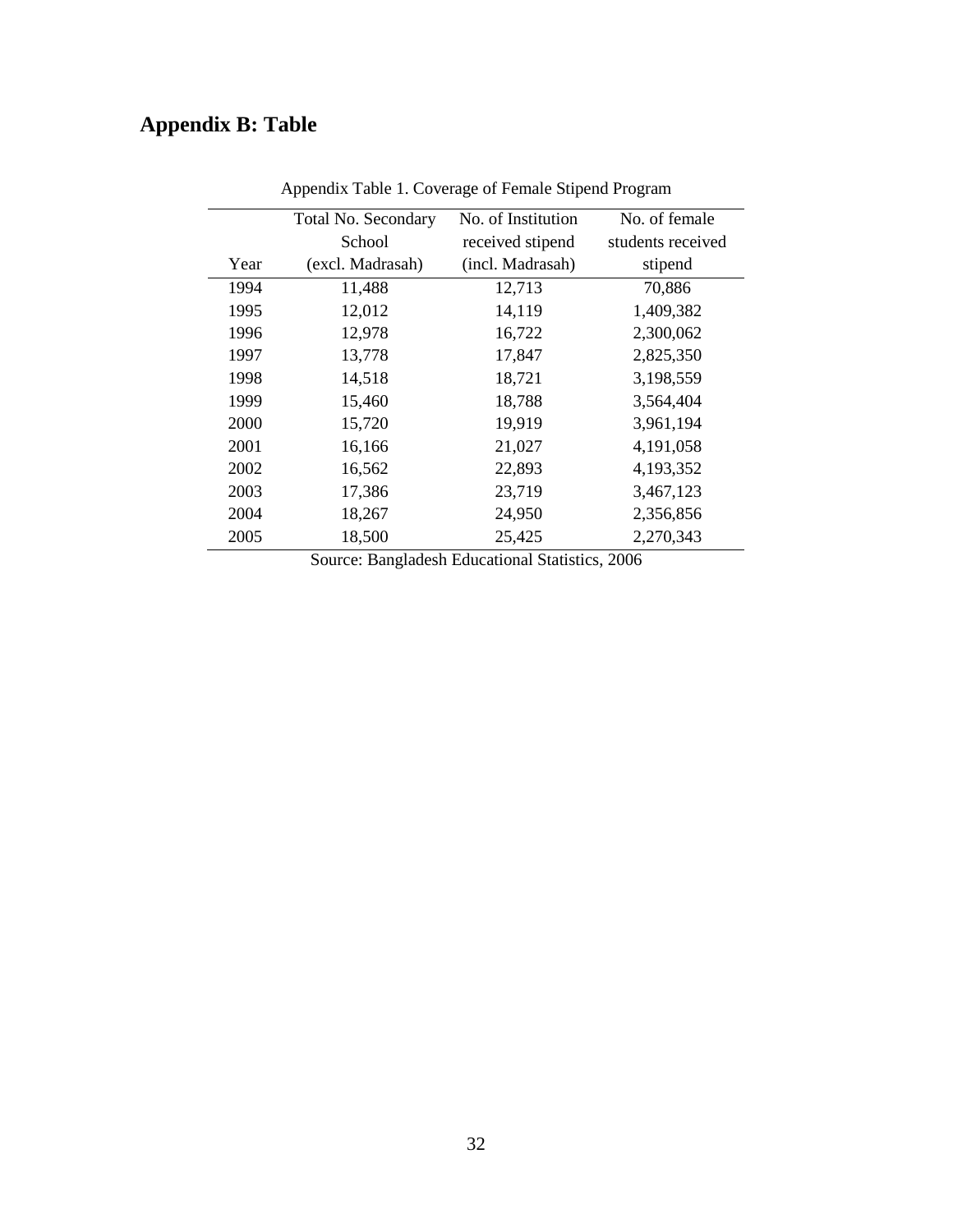# **Appendix B: Table**

|      | <b>Total No. Secondary</b> | No. of Institution | No. of female     |
|------|----------------------------|--------------------|-------------------|
|      | School                     | received stipend   | students received |
| Year | (excl. Madrasah)           | (incl. Madrasah)   | stipend           |
| 1994 | 11,488                     | 12,713             | 70,886            |
| 1995 | 12,012                     | 14,119             | 1,409,382         |
| 1996 | 12,978                     | 16,722             | 2,300,062         |
| 1997 | 13,778                     | 17,847             | 2,825,350         |
| 1998 | 14,518                     | 18,721             | 3,198,559         |
| 1999 | 15,460                     | 18,788             | 3,564,404         |
| 2000 | 15,720                     | 19,919             | 3,961,194         |
| 2001 | 16,166                     | 21,027             | 4,191,058         |
| 2002 | 16,562                     | 22,893             | 4,193,352         |
| 2003 | 17,386                     | 23,719             | 3,467,123         |
| 2004 | 18,267                     | 24,950             | 2,356,856         |
| 2005 | 18,500                     | 25,425             | 2,270,343         |

Appendix Table 1. Coverage of Female Stipend Program

Source: Bangladesh Educational Statistics, 2006